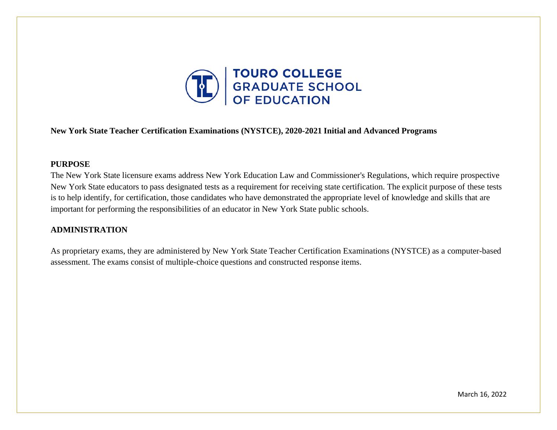

#### **New York State Teacher Certification Examinations (NYSTCE), 2020-2021 Initial and Advanced Programs**

#### **PURPOSE**

The New York State licensure exams address New York Education Law and Commissioner's Regulations, which require prospective New York State educators to pass designated tests as a requirement for receiving state certification. The explicit purpose of these tests is to help identify, for certification, those candidates who have demonstrated the appropriate level of knowledge and skills that are important for performing the responsibilities of an educator in New York State public schools.

#### **ADMINISTRATION**

As proprietary exams, they are administered by New York State Teacher Certification Examinations (NYSTCE) as a computer-based assessment. The exams consist of multiple-choice questions and constructed response items.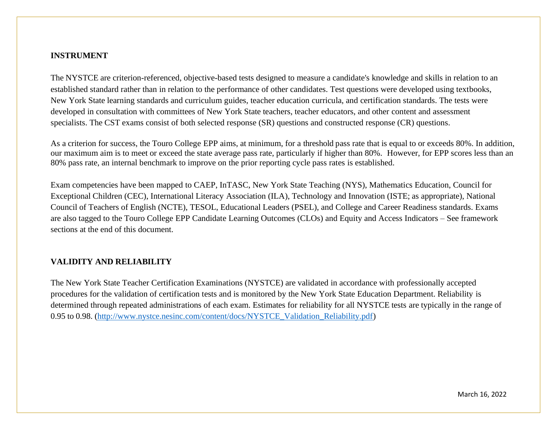#### **INSTRUMENT**

The NYSTCE are criterion-referenced, objective-based tests designed to measure a candidate's knowledge and skills in relation to an established standard rather than in relation to the performance of other candidates. Test questions were developed using textbooks, New York State learning standards and curriculum guides, teacher education curricula, and certification standards. The tests were developed in consultation with committees of New York State teachers, teacher educators, and other content and assessment specialists. The CST exams consist of both selected response (SR) questions and constructed response (CR) questions.

As a criterion for success, the Touro College EPP aims, at minimum, for a threshold pass rate that is equal to or exceeds 80%. In addition, our maximum aim is to meet or exceed the state average pass rate, particularly if higher than 80%. However, for EPP scores less than an 80% pass rate, an internal benchmark to improve on the prior reporting cycle pass rates is established.

Exam competencies have been mapped to CAEP, InTASC, New York State Teaching (NYS), Mathematics Education, Council for Exceptional Children (CEC), International Literacy Association (ILA), Technology and Innovation (ISTE; as appropriate), National Council of Teachers of English (NCTE), TESOL, Educational Leaders (PSEL), and College and Career Readiness standards. Exams are also tagged to the Touro College EPP Candidate Learning Outcomes (CLOs) and Equity and Access Indicators – See framework sections at the end of this document.

#### **VALIDITY AND RELIABILITY**

The New York State Teacher Certification Examinations (NYSTCE) are validated in accordance with professionally accepted procedures for the validation of certification tests and is monitored by the New York State Education Department. Reliability is determined through repeated administrations of each exam. Estimates for reliability for all NYSTCE tests are typically in the range of 0.95 to 0.98. [\(http://www.nystce.nesinc.com/content/docs/NYSTCE\\_Validation\\_Reliability.pdf\)](http://www.nystce.nesinc.com/content/docs/NYSTCE_Validation_Reliability.pdf)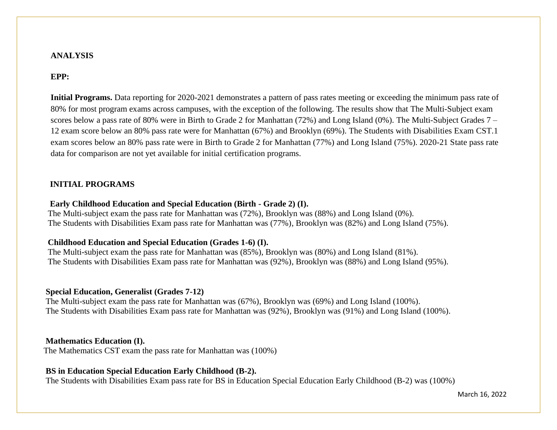#### **ANALYSIS**

### **EPP:**

**Initial Programs.** Data reporting for 2020-2021 demonstrates a pattern of pass rates meeting or exceeding the minimum pass rate of 80% for most program exams across campuses, with the exception of the following. The results show that The Multi-Subject exam scores below a pass rate of 80% were in Birth to Grade 2 for Manhattan (72%) and Long Island (0%). The Multi-Subject Grades 7 – 12 exam score below an 80% pass rate were for Manhattan (67%) and Brooklyn (69%). The Students with Disabilities Exam CST.1 exam scores below an 80% pass rate were in Birth to Grade 2 for Manhattan (77%) and Long Island (75%). 2020-21 State pass rate data for comparison are not yet available for initial certification programs.

#### **INITIAL PROGRAMS**

#### **Early Childhood Education and Special Education (Birth - Grade 2) (I).**

 The Multi-subject exam the pass rate for Manhattan was (72%), Brooklyn was (88%) and Long Island (0%). The Students with Disabilities Exam pass rate for Manhattan was (77%), Brooklyn was (82%) and Long Island (75%).

#### **Childhood Education and Special Education (Grades 1-6) (I).**

 The Multi-subject exam the pass rate for Manhattan was (85%), Brooklyn was (80%) and Long Island (81%). The Students with Disabilities Exam pass rate for Manhattan was (92%), Brooklyn was (88%) and Long Island (95%).

#### **Special Education, Generalist (Grades 7-12)**

 The Multi-subject exam the pass rate for Manhattan was (67%), Brooklyn was (69%) and Long Island (100%). The Students with Disabilities Exam pass rate for Manhattan was (92%), Brooklyn was (91%) and Long Island (100%).

#### **Mathematics Education (I).**

The Mathematics CST exam the pass rate for Manhattan was (100%)

#### **BS in Education Special Education Early Childhood (B-2).**

The Students with Disabilities Exam pass rate for BS in Education Special Education Early Childhood (B-2) was (100%)

March 16, 2022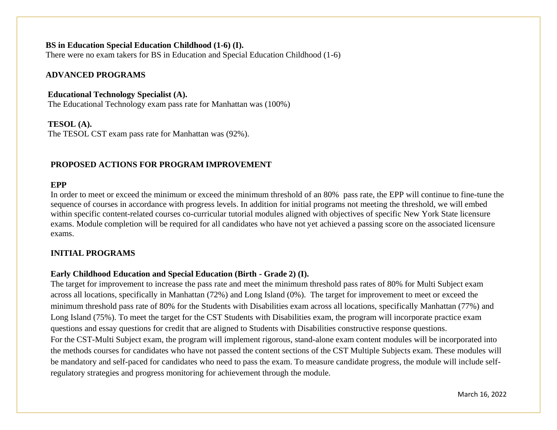### **BS in Education Special Education Childhood (1-6) (I).**

There were no exam takers for BS in Education and Special Education Childhood (1-6)

#### **ADVANCED PROGRAMS**

#### **Educational Technology Specialist (A).**

The Educational Technology exam pass rate for Manhattan was (100%)

#### **TESOL (A).**

The TESOL CST exam pass rate for Manhattan was (92%).

## **PROPOSED ACTIONS FOR PROGRAM IMPROVEMENT**

#### **EPP**

In order to meet or exceed the minimum or exceed the minimum threshold of an 80% pass rate, the EPP will continue to fine-tune the sequence of courses in accordance with progress levels. In addition for initial programs not meeting the threshold, we will embed within specific content-related courses co-curricular tutorial modules aligned with objectives of specific New York State licensure exams. Module completion will be required for all candidates who have not yet achieved a passing score on the associated licensure exams.

## **INITIAL PROGRAMS**

## **Early Childhood Education and Special [Education \(Birth](https://gse.touro.edu/media/schools-and-colleges/graduate-school-of-education/assessment/B-2CAEPAIMS2016-1_22_19.pdf) - Grade 2) (I).**

The target for improvement to increase the pass rate and meet the minimum threshold pass rates of 80% for Multi Subject exam across all locations, specifically in Manhattan (72%) and Long Island (0%). The target for improvement to meet or exceed the minimum threshold pass rate of 80% for the Students with Disabilities exam across all locations, specifically Manhattan (77%) and Long Island (75%). To meet the target for the CST Students with Disabilities exam, the program will incorporate practice exam questions and essay questions for credit that are aligned to Students with Disabilities constructive response questions. For the CST-Multi Subject exam, the program will implement rigorous, stand-alone exam content modules will be incorporated into the methods courses for candidates who have not passed the content sections of the CST Multiple Subjects exam. These modules will be mandatory and self-paced for candidates who need to pass the exam. To measure candidate progress, the module will include selfregulatory strategies and progress monitoring for achievement through the module.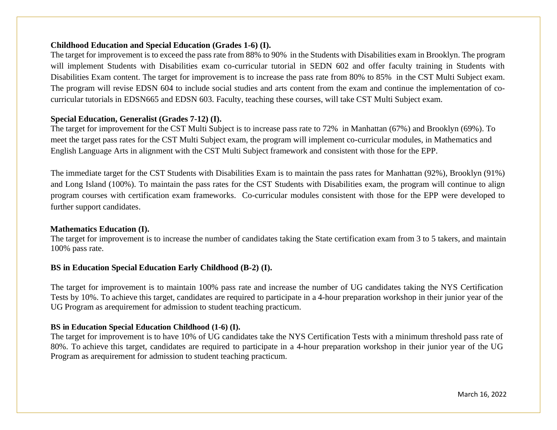### **Childhood Education and Special Education (Grades 1-6) (I).**

The target for improvement is to exceed the pass rate from 88% to 90% in the Students with Disabilities exam in Brooklyn. The program will implement Students with Disabilities exam co-curricular tutorial in SEDN 602 and offer faculty training in Students with Disabilities Exam content. The target for improvement is to increase the pass rate from 80% to 85% in the CST Multi Subject exam. The program will revise EDSN 604 to include social studies and arts content from the exam and continue the implementation of cocurricular tutorials in EDSN665 and EDSN 603. Faculty, teaching these courses, will take CST Multi Subject exam.

### **Special Education, Generalist (Grades 7-12) (I).**

The target for improvement for the CST Multi Subject is to increase pass rate to 72% in Manhattan (67%) and Brooklyn (69%). To meet the target pass rates for the CST Multi Subject exam, the program will implement co-curricular modules, in Mathematics and English Language Arts in alignment with the CST Multi Subject framework and consistent with those for the EPP.

The immediate target for the CST Students with Disabilities Exam is to maintain the pass rates for Manhattan (92%), Brooklyn (91%) and Long Island (100%). To maintain the pass rates for the CST Students with Disabilities exam, the program will continue to align program courses with certification exam frameworks. Co-curricular modules consistent with those for the EPP were developed to further support candidates.

#### **Mathematics Education (I).**

The target for improvement is to increase the number of candidates taking the State certification exam from 3 to 5 takers, and maintain 100% pass rate.

#### **BS in Education Special Education Early Childhood (B-2) (I).**

The target for improvement is to maintain 100% pass rate and increase the number of UG candidates taking the NYS Certification Tests by 10%. To achieve this target, candidates are required to participate in a 4-hour preparation workshop in their junior year of the UG Program as arequirement for admission to student teaching practicum.

#### **BS in Education Special Education Childhood (1-6) (I).**

The target for improvement is to have 10% of UG candidates take the NYS Certification Tests with a minimum threshold pass rate of 80%. To achieve this target, candidates are required to participate in a 4-hour preparation workshop in their junior year of the UG Program as arequirement for admission to student teaching practicum.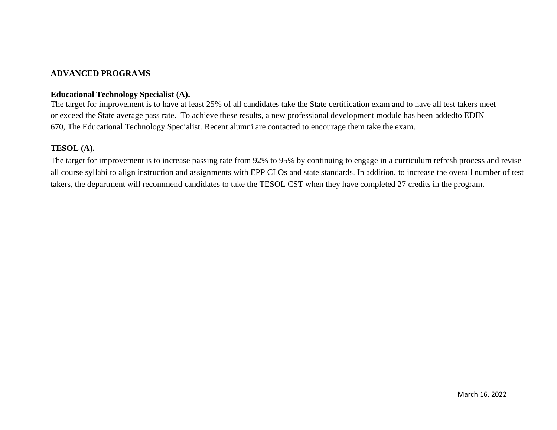#### **ADVANCED PROGRAMS**

#### **Educational Technology Specialist (A).**

The target for improvement is to have at least 25% of all candidates take the State certification exam and to have all test takers meet or exceed the State average pass rate. To achieve these results, a new professional development module has been addedto EDIN 670, The Educational Technology Specialist. Recent alumni are contacted to encourage them take the exam.

### **TESOL (A).**

The target for improvement is to increase passing rate from 92% to 95% by continuing to engage in a curriculum refresh process and revise all course syllabi to align instruction and assignments with EPP CLOs and state standards. In addition, to increase the overall number of test takers, the department will recommend candidates to take the TESOL CST when they have completed 27 credits in the program.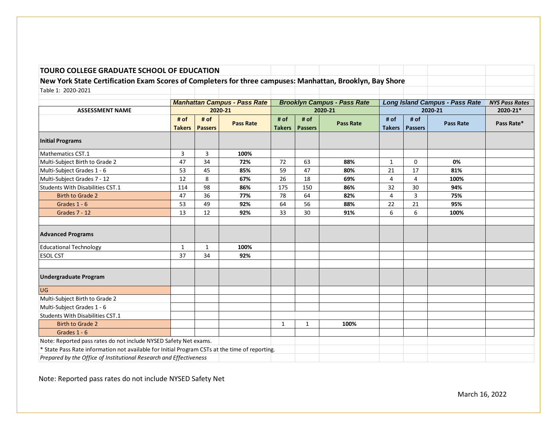### **New York State Certification Exam Scores of Completers for three campuses: Manhattan, Brooklyn, Bay Shore**

| Table 1: 2020-2021                                                                             |                       |                        |                                     |                       |                        |                                    |                       |                        |                                       |                       |
|------------------------------------------------------------------------------------------------|-----------------------|------------------------|-------------------------------------|-----------------------|------------------------|------------------------------------|-----------------------|------------------------|---------------------------------------|-----------------------|
|                                                                                                |                       |                        |                                     |                       |                        |                                    |                       |                        |                                       |                       |
|                                                                                                |                       |                        | <b>Manhattan Campus - Pass Rate</b> |                       |                        | <b>Brooklyn Campus - Pass Rate</b> |                       |                        | <b>Long Island Campus - Pass Rate</b> | <b>NYS Pass Rates</b> |
| <b>ASSESSMENT NAME</b>                                                                         |                       |                        | 2020-21                             |                       |                        | 2020-21                            |                       |                        | 2020-21                               | 2020-21*              |
|                                                                                                | # of<br><b>Takers</b> | # of<br><b>Passers</b> | <b>Pass Rate</b>                    | # of<br><b>Takers</b> | # of<br><b>Passers</b> | <b>Pass Rate</b>                   | # of<br><b>Takers</b> | # of<br><b>Passers</b> | <b>Pass Rate</b>                      | Pass Rate*            |
| <b>Initial Programs</b>                                                                        |                       |                        |                                     |                       |                        |                                    |                       |                        |                                       |                       |
| Mathematics CST.1                                                                              | 3                     | 3                      | 100%                                |                       |                        |                                    |                       |                        |                                       |                       |
| Multi-Subject Birth to Grade 2                                                                 | 47                    | 34                     | 72%                                 | 72                    | 63                     | 88%                                | 1                     | 0                      | 0%                                    |                       |
| Multi-Subject Grades 1 - 6                                                                     | 53                    | 45                     | 85%                                 | 59                    | 47                     | 80%                                | 21                    | 17                     | 81%                                   |                       |
| Multi-Subject Grades 7 - 12                                                                    | 12                    | 8                      | 67%                                 | 26                    | 18                     | 69%                                | 4                     | 4                      | 100%                                  |                       |
| Students With Disabilities CST.1                                                               | 114                   | 98                     | 86%                                 | 175                   | 150                    | 86%                                | 32                    | 30                     | 94%                                   |                       |
| Birth to Grade 2                                                                               | 47                    | 36                     | 77%                                 | 78                    | 64                     | 82%                                | 4                     | 3                      | 75%                                   |                       |
| Grades 1 - 6                                                                                   | 53                    | 49                     | 92%                                 | 64                    | 56                     | 88%                                | 22                    | 21                     | 95%                                   |                       |
| <b>Grades 7 - 12</b>                                                                           | 13                    | 12                     | 92%                                 | 33                    | 30                     | 91%                                | 6                     | 6                      | 100%                                  |                       |
| <b>Advanced Programs</b>                                                                       |                       |                        |                                     |                       |                        |                                    |                       |                        |                                       |                       |
| <b>Educational Technology</b>                                                                  | $\mathbf{1}$          | $\mathbf{1}$           | 100%                                |                       |                        |                                    |                       |                        |                                       |                       |
| <b>ESOL CST</b>                                                                                | 37                    | 34                     | 92%                                 |                       |                        |                                    |                       |                        |                                       |                       |
| <b>Undergraduate Program</b>                                                                   |                       |                        |                                     |                       |                        |                                    |                       |                        |                                       |                       |
| <b>UG</b>                                                                                      |                       |                        |                                     |                       |                        |                                    |                       |                        |                                       |                       |
| Multi-Subject Birth to Grade 2                                                                 |                       |                        |                                     |                       |                        |                                    |                       |                        |                                       |                       |
| Multi-Subject Grades 1 - 6                                                                     |                       |                        |                                     |                       |                        |                                    |                       |                        |                                       |                       |
| Students With Disabilities CST.1                                                               |                       |                        |                                     |                       |                        |                                    |                       |                        |                                       |                       |
| <b>Birth to Grade 2</b>                                                                        |                       |                        |                                     | $\mathbf{1}$          | 1                      | 100%                               |                       |                        |                                       |                       |
| Grades 1 - 6                                                                                   |                       |                        |                                     |                       |                        |                                    |                       |                        |                                       |                       |
| Note: Reported pass rates do not include NYSED Safety Net exams.                               |                       |                        |                                     |                       |                        |                                    |                       |                        |                                       |                       |
| * State Pass Rate information not available for Initial Program CSTs at the time of reporting. |                       |                        |                                     |                       |                        |                                    |                       |                        |                                       |                       |
| Prepared by the Office of Institutional Research and Effectiveness                             |                       |                        |                                     |                       |                        |                                    |                       |                        |                                       |                       |

March 16, 2022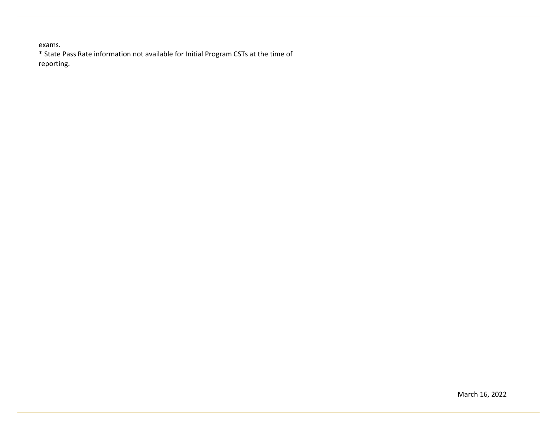exams. \* State Pass Rate information not available for Initial Program CSTs at the time of reporting.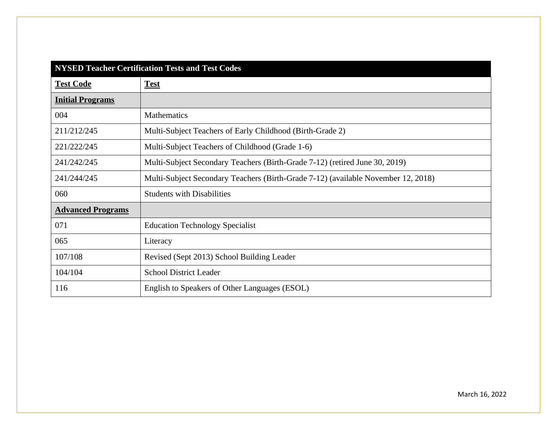| <b>NYSED Teacher Certification Tests and Test Codes</b> |                                                                                   |  |  |
|---------------------------------------------------------|-----------------------------------------------------------------------------------|--|--|
| <b>Test Code</b>                                        | <b>Test</b>                                                                       |  |  |
| <b>Initial Programs</b>                                 |                                                                                   |  |  |
| 004                                                     | <b>Mathematics</b>                                                                |  |  |
| 211/212/245                                             | Multi-Subject Teachers of Early Childhood (Birth-Grade 2)                         |  |  |
| 221/222/245                                             | Multi-Subject Teachers of Childhood (Grade 1-6)                                   |  |  |
| 241/242/245                                             | Multi-Subject Secondary Teachers (Birth-Grade 7-12) (retired June 30, 2019)       |  |  |
| 241/244/245                                             | Multi-Subject Secondary Teachers (Birth-Grade 7-12) (available November 12, 2018) |  |  |
| 060                                                     | <b>Students with Disabilities</b>                                                 |  |  |
| <b>Advanced Programs</b>                                |                                                                                   |  |  |
| 071                                                     | <b>Education Technology Specialist</b>                                            |  |  |
| 065                                                     | Literacy                                                                          |  |  |
| 107/108                                                 | Revised (Sept 2013) School Building Leader                                        |  |  |
| 104/104                                                 | <b>School District Leader</b>                                                     |  |  |
| 116                                                     | English to Speakers of Other Languages (ESOL)                                     |  |  |

March 16, 2022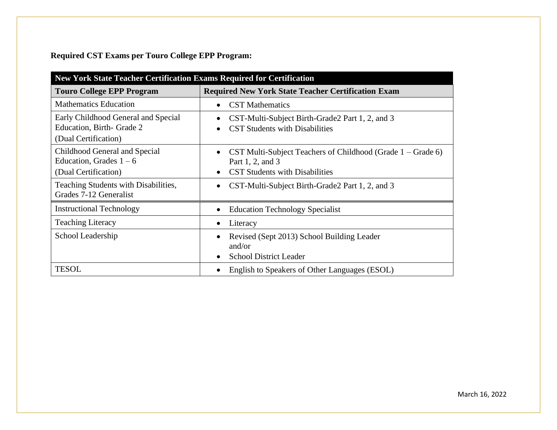**Required CST Exams per Touro College EPP Program:**

| New York State Teacher Certification Exams Required for Certification                    |                                                                                                                            |  |  |
|------------------------------------------------------------------------------------------|----------------------------------------------------------------------------------------------------------------------------|--|--|
| <b>Touro College EPP Program</b>                                                         | <b>Required New York State Teacher Certification Exam</b>                                                                  |  |  |
| <b>Mathematics Education</b>                                                             | <b>CST</b> Mathematics<br>$\bullet$                                                                                        |  |  |
| Early Childhood General and Special<br>Education, Birth- Grade 2<br>(Dual Certification) | CST-Multi-Subject Birth-Grade2 Part 1, 2, and 3<br>$\bullet$<br><b>CST Students with Disabilities</b>                      |  |  |
| Childhood General and Special<br>Education, Grades $1 - 6$<br>(Dual Certification)       | CST Multi-Subject Teachers of Childhood (Grade $1 -$ Grade 6)<br>Part 1, 2, and 3<br><b>CST Students with Disabilities</b> |  |  |
| Teaching Students with Disabilities,<br>Grades 7-12 Generalist                           | CST-Multi-Subject Birth-Grade2 Part 1, 2, and 3                                                                            |  |  |
| <b>Instructional Technology</b>                                                          | <b>Education Technology Specialist</b><br>$\bullet$                                                                        |  |  |
| <b>Teaching Literacy</b>                                                                 | Literacy<br>$\bullet$                                                                                                      |  |  |
| School Leadership                                                                        | Revised (Sept 2013) School Building Leader<br>$\bullet$<br>and/or<br><b>School District Leader</b><br>$\bullet$            |  |  |
| <b>TESOL</b>                                                                             | English to Speakers of Other Languages (ESOL)<br>$\bullet$                                                                 |  |  |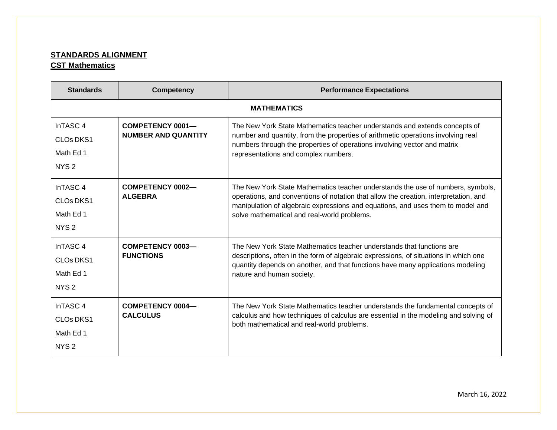# **STANDARDS ALIGNMENT CST Mathematics**

| <b>Standards</b>                                                                          | <b>Competency</b>                              | <b>Performance Expectations</b>                                                                                                                                                                                                                                                                           |  |  |  |
|-------------------------------------------------------------------------------------------|------------------------------------------------|-----------------------------------------------------------------------------------------------------------------------------------------------------------------------------------------------------------------------------------------------------------------------------------------------------------|--|--|--|
|                                                                                           | <b>MATHEMATICS</b>                             |                                                                                                                                                                                                                                                                                                           |  |  |  |
| InTASC <sub>4</sub><br><b>CLOs DKS1</b><br>Math Ed 1<br>NYS <sub>2</sub>                  | COMPETENCY 0001-<br><b>NUMBER AND QUANTITY</b> | The New York State Mathematics teacher understands and extends concepts of<br>number and quantity, from the properties of arithmetic operations involving real<br>numbers through the properties of operations involving vector and matrix<br>representations and complex numbers.                        |  |  |  |
| InTASC <sub>4</sub><br>CLO <sub>s</sub> DKS <sub>1</sub><br>Math Ed 1<br>NYS <sub>2</sub> | <b>COMPETENCY 0002-</b><br><b>ALGEBRA</b>      | The New York State Mathematics teacher understands the use of numbers, symbols,<br>operations, and conventions of notation that allow the creation, interpretation, and<br>manipulation of algebraic expressions and equations, and uses them to model and<br>solve mathematical and real-world problems. |  |  |  |
| InTASC <sub>4</sub><br>CLO <sub>s</sub> DK <sub>S1</sub><br>Math Ed 1<br>NYS <sub>2</sub> | COMPETENCY 0003-<br><b>FUNCTIONS</b>           | The New York State Mathematics teacher understands that functions are<br>descriptions, often in the form of algebraic expressions, of situations in which one<br>quantity depends on another, and that functions have many applications modeling<br>nature and human society.                             |  |  |  |
| InTASC <sub>4</sub><br>CLO <sub>s</sub> DKS <sub>1</sub><br>Math Ed 1<br>NYS <sub>2</sub> | COMPETENCY 0004-<br><b>CALCULUS</b>            | The New York State Mathematics teacher understands the fundamental concepts of<br>calculus and how techniques of calculus are essential in the modeling and solving of<br>both mathematical and real-world problems.                                                                                      |  |  |  |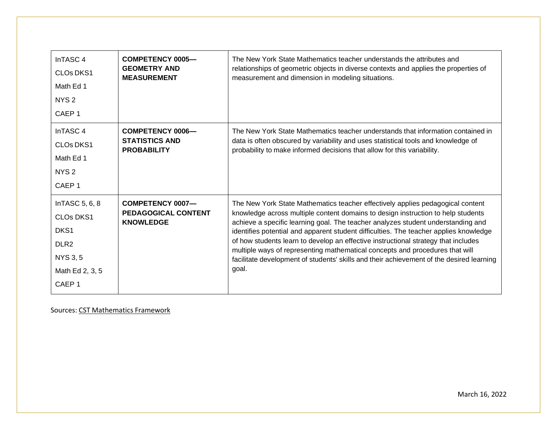| InTASC <sub>4</sub><br><b>CLOs DKS1</b><br>Math Ed 1<br>NYS <sub>2</sub><br>CAEP <sub>1</sub>                                          | <b>COMPETENCY 0005-</b><br><b>GEOMETRY AND</b><br><b>MEASUREMENT</b>   | The New York State Mathematics teacher understands the attributes and<br>relationships of geometric objects in diverse contexts and applies the properties of<br>measurement and dimension in modeling situations.                                                                                                                                                                                                                                                                                                                                                                                                         |
|----------------------------------------------------------------------------------------------------------------------------------------|------------------------------------------------------------------------|----------------------------------------------------------------------------------------------------------------------------------------------------------------------------------------------------------------------------------------------------------------------------------------------------------------------------------------------------------------------------------------------------------------------------------------------------------------------------------------------------------------------------------------------------------------------------------------------------------------------------|
| InTASC <sub>4</sub><br><b>CLOs DKS1</b><br>Math Ed 1<br>NYS <sub>2</sub><br>CAEP <sub>1</sub>                                          | <b>COMPETENCY 0006-</b><br><b>STATISTICS AND</b><br><b>PROBABILITY</b> | The New York State Mathematics teacher understands that information contained in<br>data is often obscured by variability and uses statistical tools and knowledge of<br>probability to make informed decisions that allow for this variability.                                                                                                                                                                                                                                                                                                                                                                           |
| In TASC 5, 6, 8<br><b>CLOs DKS1</b><br>DKS <sub>1</sub><br>DLR <sub>2</sub><br><b>NYS 3, 5</b><br>Math Ed 2, 3, 5<br>CAEP <sub>1</sub> | COMPETENCY 0007-<br><b>PEDAGOGICAL CONTENT</b><br><b>KNOWLEDGE</b>     | The New York State Mathematics teacher effectively applies pedagogical content<br>knowledge across multiple content domains to design instruction to help students<br>achieve a specific learning goal. The teacher analyzes student understanding and<br>identifies potential and apparent student difficulties. The teacher applies knowledge<br>of how students learn to develop an effective instructional strategy that includes<br>multiple ways of representing mathematical concepts and procedures that will<br>facilitate development of students' skills and their achievement of the desired learning<br>goal. |

Sources: CST [Mathematics](http://www.nystce.nesinc.com/content/docs/NY_fld04_objs.pdf) Framework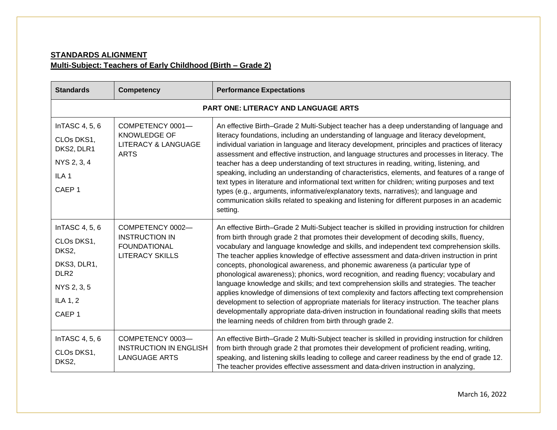# **STANDARDS ALIGNMENT Multi-Subject: Teachers of Early Childhood (Birth – Grade 2)**

| <b>Standards</b>                                                                                                         | <b>Competency</b>                                                                          | <b>Performance Expectations</b>                                                                                                                                                                                                                                                                                                                                                                                                                                                                                                                                                                                                                                                                                                                                                                                                                                                                                                                                                                                                |  |  |
|--------------------------------------------------------------------------------------------------------------------------|--------------------------------------------------------------------------------------------|--------------------------------------------------------------------------------------------------------------------------------------------------------------------------------------------------------------------------------------------------------------------------------------------------------------------------------------------------------------------------------------------------------------------------------------------------------------------------------------------------------------------------------------------------------------------------------------------------------------------------------------------------------------------------------------------------------------------------------------------------------------------------------------------------------------------------------------------------------------------------------------------------------------------------------------------------------------------------------------------------------------------------------|--|--|
|                                                                                                                          | <b>PART ONE: LITERACY AND LANGUAGE ARTS</b>                                                |                                                                                                                                                                                                                                                                                                                                                                                                                                                                                                                                                                                                                                                                                                                                                                                                                                                                                                                                                                                                                                |  |  |
| InTASC 4, 5, 6<br>CLOs DKS1,<br>DKS2, DLR1<br>NYS 2, 3, 4<br>ILA <sub>1</sub><br>CAEP <sub>1</sub>                       | COMPETENCY 0001-<br><b>KNOWLEDGE OF</b><br><b>LITERACY &amp; LANGUAGE</b><br><b>ARTS</b>   | An effective Birth-Grade 2 Multi-Subject teacher has a deep understanding of language and<br>literacy foundations, including an understanding of language and literacy development,<br>individual variation in language and literacy development, principles and practices of literacy<br>assessment and effective instruction, and language structures and processes in literacy. The<br>teacher has a deep understanding of text structures in reading, writing, listening, and<br>speaking, including an understanding of characteristics, elements, and features of a range of<br>text types in literature and informational text written for children; writing purposes and text<br>types (e.g., arguments, informative/explanatory texts, narratives); and language and<br>communication skills related to speaking and listening for different purposes in an academic<br>setting.                                                                                                                                      |  |  |
| InTASC 4, 5, 6<br>CLOs DKS1,<br>DKS2,<br>DKS3, DLR1,<br>DLR <sub>2</sub><br>NYS 2, 3, 5<br>ILA 1, 2<br>CAEP <sub>1</sub> | COMPETENCY 0002-<br><b>INSTRUCTION IN</b><br><b>FOUNDATIONAL</b><br><b>LITERACY SKILLS</b> | An effective Birth-Grade 2 Multi-Subject teacher is skilled in providing instruction for children<br>from birth through grade 2 that promotes their development of decoding skills, fluency,<br>vocabulary and language knowledge and skills, and independent text comprehension skills.<br>The teacher applies knowledge of effective assessment and data-driven instruction in print<br>concepts, phonological awareness, and phonemic awareness (a particular type of<br>phonological awareness); phonics, word recognition, and reading fluency; vocabulary and<br>language knowledge and skills; and text comprehension skills and strategies. The teacher<br>applies knowledge of dimensions of text complexity and factors affecting text comprehension<br>development to selection of appropriate materials for literacy instruction. The teacher plans<br>developmentally appropriate data-driven instruction in foundational reading skills that meets<br>the learning needs of children from birth through grade 2. |  |  |
| InTASC 4, 5, 6<br>CLOs DKS1,<br>DKS2,                                                                                    | COMPETENCY 0003-<br><b>INSTRUCTION IN ENGLISH</b><br><b>LANGUAGE ARTS</b>                  | An effective Birth-Grade 2 Multi-Subject teacher is skilled in providing instruction for children<br>from birth through grade 2 that promotes their development of proficient reading, writing,<br>speaking, and listening skills leading to college and career readiness by the end of grade 12.<br>The teacher provides effective assessment and data-driven instruction in analyzing,                                                                                                                                                                                                                                                                                                                                                                                                                                                                                                                                                                                                                                       |  |  |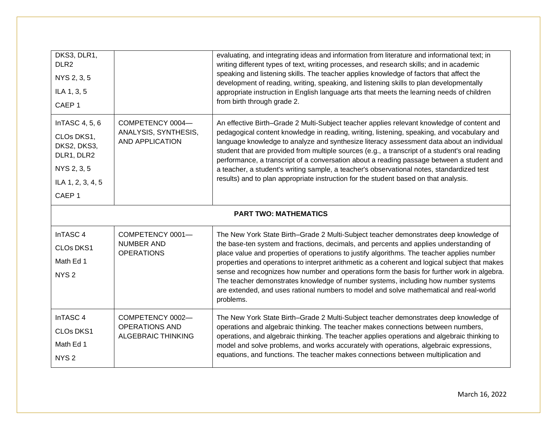| DKS3, DLR1,<br>DLR <sub>2</sub><br>NYS 2, 3, 5<br>ILA 1, 3, 5<br>CAEP <sub>1</sub>                                 |                                                                        | evaluating, and integrating ideas and information from literature and informational text; in<br>writing different types of text, writing processes, and research skills; and in academic<br>speaking and listening skills. The teacher applies knowledge of factors that affect the<br>development of reading, writing, speaking, and listening skills to plan developmentally<br>appropriate instruction in English language arts that meets the learning needs of children<br>from birth through grade 2.                                                                                                                                                                |
|--------------------------------------------------------------------------------------------------------------------|------------------------------------------------------------------------|----------------------------------------------------------------------------------------------------------------------------------------------------------------------------------------------------------------------------------------------------------------------------------------------------------------------------------------------------------------------------------------------------------------------------------------------------------------------------------------------------------------------------------------------------------------------------------------------------------------------------------------------------------------------------|
| InTASC 4, 5, 6<br>CLOs DKS1,<br>DKS2, DKS3,<br>DLR1, DLR2<br>NYS 2, 3, 5<br>ILA 1, 2, 3, 4, 5<br>CAEP <sub>1</sub> | COMPETENCY 0004-<br>ANALYSIS, SYNTHESIS,<br><b>AND APPLICATION</b>     | An effective Birth-Grade 2 Multi-Subject teacher applies relevant knowledge of content and<br>pedagogical content knowledge in reading, writing, listening, speaking, and vocabulary and<br>language knowledge to analyze and synthesize literacy assessment data about an individual<br>student that are provided from multiple sources (e.g., a transcript of a student's oral reading<br>performance, a transcript of a conversation about a reading passage between a student and<br>a teacher, a student's writing sample, a teacher's observational notes, standardized test<br>results) and to plan appropriate instruction for the student based on that analysis. |
|                                                                                                                    |                                                                        | <b>PART TWO: MATHEMATICS</b>                                                                                                                                                                                                                                                                                                                                                                                                                                                                                                                                                                                                                                               |
| InTASC 4<br>CLOs DKS1<br>Math Ed 1<br>NYS <sub>2</sub>                                                             | COMPETENCY 0001-<br>NUMBER AND<br><b>OPERATIONS</b>                    | The New York State Birth-Grade 2 Multi-Subject teacher demonstrates deep knowledge of<br>the base-ten system and fractions, decimals, and percents and applies understanding of<br>place value and properties of operations to justify algorithms. The teacher applies number<br>properties and operations to interpret arithmetic as a coherent and logical subject that makes<br>sense and recognizes how number and operations form the basis for further work in algebra.<br>The teacher demonstrates knowledge of number systems, including how number systems<br>are extended, and uses rational numbers to model and solve mathematical and real-world<br>problems. |
| InTASC <sub>4</sub><br>CLOs DKS1<br>Math Ed 1<br>NYS <sub>2</sub>                                                  | COMPETENCY 0002-<br><b>OPERATIONS AND</b><br><b>ALGEBRAIC THINKING</b> | The New York State Birth-Grade 2 Multi-Subject teacher demonstrates deep knowledge of<br>operations and algebraic thinking. The teacher makes connections between numbers,<br>operations, and algebraic thinking. The teacher applies operations and algebraic thinking to<br>model and solve problems, and works accurately with operations, algebraic expressions,<br>equations, and functions. The teacher makes connections between multiplication and                                                                                                                                                                                                                 |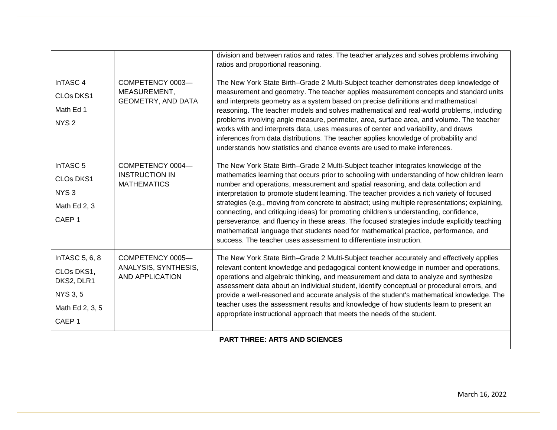|                          |                                                | division and between ratios and rates. The teacher analyzes and solves problems involving<br>ratios and proportional reasoning.                                                                                                                                                                                                                                                                                                                                             |
|--------------------------|------------------------------------------------|-----------------------------------------------------------------------------------------------------------------------------------------------------------------------------------------------------------------------------------------------------------------------------------------------------------------------------------------------------------------------------------------------------------------------------------------------------------------------------|
| InTASC <sub>4</sub>      | COMPETENCY 0003-                               | The New York State Birth-Grade 2 Multi-Subject teacher demonstrates deep knowledge of<br>measurement and geometry. The teacher applies measurement concepts and standard units<br>and interprets geometry as a system based on precise definitions and mathematical                                                                                                                                                                                                         |
| CLOs DKS1                | MEASUREMENT,<br><b>GEOMETRY, AND DATA</b>      |                                                                                                                                                                                                                                                                                                                                                                                                                                                                             |
| Math Ed 1                |                                                | reasoning. The teacher models and solves mathematical and real-world problems, including                                                                                                                                                                                                                                                                                                                                                                                    |
| NYS <sub>2</sub>         |                                                | problems involving angle measure, perimeter, area, surface area, and volume. The teacher<br>works with and interprets data, uses measures of center and variability, and draws<br>inferences from data distributions. The teacher applies knowledge of probability and<br>understands how statistics and chance events are used to make inferences.                                                                                                                         |
| InTASC <sub>5</sub>      | COMPETENCY 0004-                               | The New York State Birth-Grade 2 Multi-Subject teacher integrates knowledge of the                                                                                                                                                                                                                                                                                                                                                                                          |
| <b>CLOs DKS1</b>         | <b>INSTRUCTION IN</b><br><b>MATHEMATICS</b>    | mathematics learning that occurs prior to schooling with understanding of how children learn<br>number and operations, measurement and spatial reasoning, and data collection and<br>interpretation to promote student learning. The teacher provides a rich variety of focused<br>strategies (e.g., moving from concrete to abstract; using multiple representations; explaining,<br>connecting, and critiquing ideas) for promoting children's understanding, confidence, |
| NYS <sub>3</sub>         |                                                |                                                                                                                                                                                                                                                                                                                                                                                                                                                                             |
| Math Ed 2, 3             |                                                |                                                                                                                                                                                                                                                                                                                                                                                                                                                                             |
| CAEP <sub>1</sub>        |                                                | perseverance, and fluency in these areas. The focused strategies include explicitly teaching<br>mathematical language that students need for mathematical practice, performance, and<br>success. The teacher uses assessment to differentiate instruction.                                                                                                                                                                                                                  |
| InTASC 5, 6, 8           | COMPETENCY 0005-                               | The New York State Birth-Grade 2 Multi-Subject teacher accurately and effectively applies                                                                                                                                                                                                                                                                                                                                                                                   |
| CLOs DKS1,<br>DKS2, DLR1 | ANALYSIS, SYNTHESIS,<br><b>AND APPLICATION</b> | relevant content knowledge and pedagogical content knowledge in number and operations,<br>operations and algebraic thinking, and measurement and data to analyze and synthesize<br>assessment data about an individual student, identify conceptual or procedural errors, and                                                                                                                                                                                               |
| <b>NYS 3, 5</b>          |                                                | provide a well-reasoned and accurate analysis of the student's mathematical knowledge. The                                                                                                                                                                                                                                                                                                                                                                                  |
| Math Ed 2, 3, 5          |                                                | teacher uses the assessment results and knowledge of how students learn to present an<br>appropriate instructional approach that meets the needs of the student.                                                                                                                                                                                                                                                                                                            |
| CAEP <sub>1</sub>        |                                                |                                                                                                                                                                                                                                                                                                                                                                                                                                                                             |
|                          |                                                | <b>PART THREE: ARTS AND SCIENCES</b>                                                                                                                                                                                                                                                                                                                                                                                                                                        |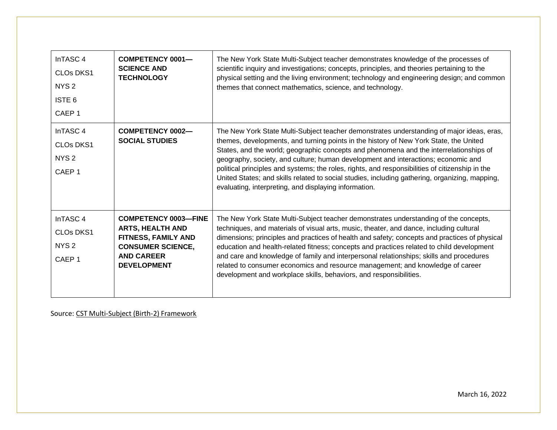| InTASC <sub>4</sub><br><b>CLOs DKS1</b><br>NYS <sub>2</sub><br>ISTE <sub>6</sub><br>CAEP <sub>1</sub> | <b>COMPETENCY 0001-</b><br><b>SCIENCE AND</b><br><b>TECHNOLOGY</b>                                                                                   | The New York State Multi-Subject teacher demonstrates knowledge of the processes of<br>scientific inquiry and investigations; concepts, principles, and theories pertaining to the<br>physical setting and the living environment; technology and engineering design; and common<br>themes that connect mathematics, science, and technology.                                                                                                                                                                                                                                                                                    |
|-------------------------------------------------------------------------------------------------------|------------------------------------------------------------------------------------------------------------------------------------------------------|----------------------------------------------------------------------------------------------------------------------------------------------------------------------------------------------------------------------------------------------------------------------------------------------------------------------------------------------------------------------------------------------------------------------------------------------------------------------------------------------------------------------------------------------------------------------------------------------------------------------------------|
| InTASC <sub>4</sub><br>CLO <sub>s</sub> DKS <sub>1</sub><br>NYS <sub>2</sub><br>CAEP <sub>1</sub>     | <b>COMPETENCY 0002-</b><br><b>SOCIAL STUDIES</b>                                                                                                     | The New York State Multi-Subject teacher demonstrates understanding of major ideas, eras,<br>themes, developments, and turning points in the history of New York State, the United<br>States, and the world; geographic concepts and phenomena and the interrelationships of<br>geography, society, and culture; human development and interactions; economic and<br>political principles and systems; the roles, rights, and responsibilities of citizenship in the<br>United States; and skills related to social studies, including gathering, organizing, mapping,<br>evaluating, interpreting, and displaying information.  |
| InTASC <sub>4</sub><br><b>CLOs DKS1</b><br>NYS <sub>2</sub><br>CAEP <sub>1</sub>                      | <b>COMPETENCY 0003-FINE</b><br><b>ARTS, HEALTH AND</b><br>FITNESS, FAMILY AND<br><b>CONSUMER SCIENCE,</b><br><b>AND CAREER</b><br><b>DEVELOPMENT</b> | The New York State Multi-Subject teacher demonstrates understanding of the concepts,<br>techniques, and materials of visual arts, music, theater, and dance, including cultural<br>dimensions; principles and practices of health and safety; concepts and practices of physical<br>education and health-related fitness; concepts and practices related to child development<br>and care and knowledge of family and interpersonal relationships; skills and procedures<br>related to consumer economics and resource management; and knowledge of career<br>development and workplace skills, behaviors, and responsibilities. |

Source: CST [Multi-Subject](https://www.nystce.nesinc.com/content/docs/NY_fld211_212_245_objs.pdf) (Birth-2) Framework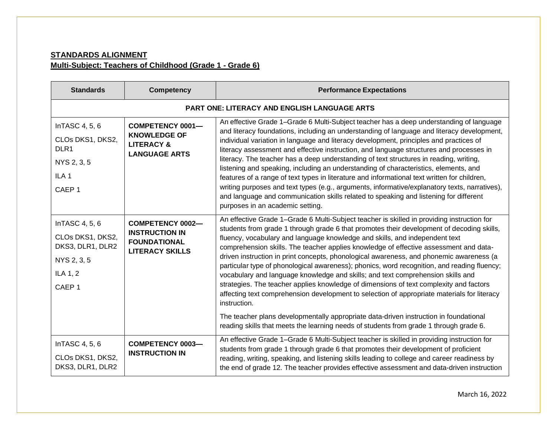# **STANDARDS ALIGNMENT Multi-Subject: Teachers of Childhood (Grade 1 - Grade 6)**

| <b>Standards</b>                                                                                               | <b>Competency</b>                                                                                 | <b>Performance Expectations</b>                                                                                                                                                                                                                                                                                                                                                                                                                                                                                                                                                                                                                                                                                                                                                                                                                                                                                                                                                                                                          |  |  |
|----------------------------------------------------------------------------------------------------------------|---------------------------------------------------------------------------------------------------|------------------------------------------------------------------------------------------------------------------------------------------------------------------------------------------------------------------------------------------------------------------------------------------------------------------------------------------------------------------------------------------------------------------------------------------------------------------------------------------------------------------------------------------------------------------------------------------------------------------------------------------------------------------------------------------------------------------------------------------------------------------------------------------------------------------------------------------------------------------------------------------------------------------------------------------------------------------------------------------------------------------------------------------|--|--|
|                                                                                                                | <b>PART ONE: LITERACY AND ENGLISH LANGUAGE ARTS</b>                                               |                                                                                                                                                                                                                                                                                                                                                                                                                                                                                                                                                                                                                                                                                                                                                                                                                                                                                                                                                                                                                                          |  |  |
| InTASC 4, 5, 6<br>CLOs DKS1, DKS2,<br>DLR <sub>1</sub><br>NYS 2, 3, 5<br>ILA <sub>1</sub><br>CAEP <sub>1</sub> | <b>COMPETENCY 0001-</b><br><b>KNOWLEDGE OF</b><br><b>LITERACY &amp;</b><br><b>LANGUAGE ARTS</b>   | An effective Grade 1-Grade 6 Multi-Subject teacher has a deep understanding of language<br>and literacy foundations, including an understanding of language and literacy development,<br>individual variation in language and literacy development, principles and practices of<br>literacy assessment and effective instruction, and language structures and processes in<br>literacy. The teacher has a deep understanding of text structures in reading, writing,<br>listening and speaking, including an understanding of characteristics, elements, and<br>features of a range of text types in literature and informational text written for children,<br>writing purposes and text types (e.g., arguments, informative/explanatory texts, narratives),<br>and language and communication skills related to speaking and listening for different<br>purposes in an academic setting.                                                                                                                                               |  |  |
| InTASC 4, 5, 6<br>CLOs DKS1, DKS2,<br>DKS3, DLR1, DLR2<br>NYS 2, 3, 5<br>ILA 1, 2<br>CAEP <sub>1</sub>         | <b>COMPETENCY 0002-</b><br><b>INSTRUCTION IN</b><br><b>FOUNDATIONAL</b><br><b>LITERACY SKILLS</b> | An effective Grade 1–Grade 6 Multi-Subject teacher is skilled in providing instruction for<br>students from grade 1 through grade 6 that promotes their development of decoding skills,<br>fluency, vocabulary and language knowledge and skills, and independent text<br>comprehension skills. The teacher applies knowledge of effective assessment and data-<br>driven instruction in print concepts, phonological awareness, and phonemic awareness (a<br>particular type of phonological awareness); phonics, word recognition, and reading fluency;<br>vocabulary and language knowledge and skills; and text comprehension skills and<br>strategies. The teacher applies knowledge of dimensions of text complexity and factors<br>affecting text comprehension development to selection of appropriate materials for literacy<br>instruction.<br>The teacher plans developmentally appropriate data-driven instruction in foundational<br>reading skills that meets the learning needs of students from grade 1 through grade 6. |  |  |
| InTASC 4, 5, 6<br>CLOs DKS1, DKS2,<br>DKS3, DLR1, DLR2                                                         | <b>COMPETENCY 0003-</b><br><b>INSTRUCTION IN</b>                                                  | An effective Grade 1-Grade 6 Multi-Subject teacher is skilled in providing instruction for<br>students from grade 1 through grade 6 that promotes their development of proficient<br>reading, writing, speaking, and listening skills leading to college and career readiness by<br>the end of grade 12. The teacher provides effective assessment and data-driven instruction                                                                                                                                                                                                                                                                                                                                                                                                                                                                                                                                                                                                                                                           |  |  |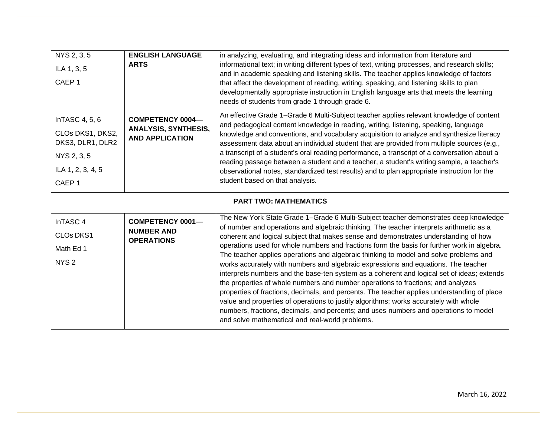| NYS 2, 3, 5<br>ILA 1, 3, 5<br>CAEP <sub>1</sub>                                                                 | <b>ENGLISH LANGUAGE</b><br><b>ARTS</b>                                           | in analyzing, evaluating, and integrating ideas and information from literature and<br>informational text; in writing different types of text, writing processes, and research skills;<br>and in academic speaking and listening skills. The teacher applies knowledge of factors<br>that affect the development of reading, writing, speaking, and listening skills to plan<br>developmentally appropriate instruction in English language arts that meets the learning<br>needs of students from grade 1 through grade 6.                                                                                                                                                                                                                                                                                                                                                                                                                                                                                                                                               |  |
|-----------------------------------------------------------------------------------------------------------------|----------------------------------------------------------------------------------|---------------------------------------------------------------------------------------------------------------------------------------------------------------------------------------------------------------------------------------------------------------------------------------------------------------------------------------------------------------------------------------------------------------------------------------------------------------------------------------------------------------------------------------------------------------------------------------------------------------------------------------------------------------------------------------------------------------------------------------------------------------------------------------------------------------------------------------------------------------------------------------------------------------------------------------------------------------------------------------------------------------------------------------------------------------------------|--|
| InTASC 4, 5, 6<br>CLOs DKS1, DKS2,<br>DKS3, DLR1, DLR2<br>NYS 2, 3, 5<br>ILA 1, 2, 3, 4, 5<br>CAEP <sub>1</sub> | <b>COMPETENCY 0004-</b><br><b>ANALYSIS, SYNTHESIS,</b><br><b>AND APPLICATION</b> | An effective Grade 1-Grade 6 Multi-Subject teacher applies relevant knowledge of content<br>and pedagogical content knowledge in reading, writing, listening, speaking, language<br>knowledge and conventions, and vocabulary acquisition to analyze and synthesize literacy<br>assessment data about an individual student that are provided from multiple sources (e.g.,<br>a transcript of a student's oral reading performance, a transcript of a conversation about a<br>reading passage between a student and a teacher, a student's writing sample, a teacher's<br>observational notes, standardized test results) and to plan appropriate instruction for the<br>student based on that analysis.                                                                                                                                                                                                                                                                                                                                                                  |  |
|                                                                                                                 | <b>PART TWO: MATHEMATICS</b>                                                     |                                                                                                                                                                                                                                                                                                                                                                                                                                                                                                                                                                                                                                                                                                                                                                                                                                                                                                                                                                                                                                                                           |  |
| InTASC 4<br>CLOs DKS1<br>Math Ed 1<br>NYS <sub>2</sub>                                                          | <b>COMPETENCY 0001-</b><br><b>NUMBER AND</b><br><b>OPERATIONS</b>                | The New York State Grade 1-Grade 6 Multi-Subject teacher demonstrates deep knowledge<br>of number and operations and algebraic thinking. The teacher interprets arithmetic as a<br>coherent and logical subject that makes sense and demonstrates understanding of how<br>operations used for whole numbers and fractions form the basis for further work in algebra.<br>The teacher applies operations and algebraic thinking to model and solve problems and<br>works accurately with numbers and algebraic expressions and equations. The teacher<br>interprets numbers and the base-ten system as a coherent and logical set of ideas; extends<br>the properties of whole numbers and number operations to fractions; and analyzes<br>properties of fractions, decimals, and percents. The teacher applies understanding of place<br>value and properties of operations to justify algorithms; works accurately with whole<br>numbers, fractions, decimals, and percents; and uses numbers and operations to model<br>and solve mathematical and real-world problems. |  |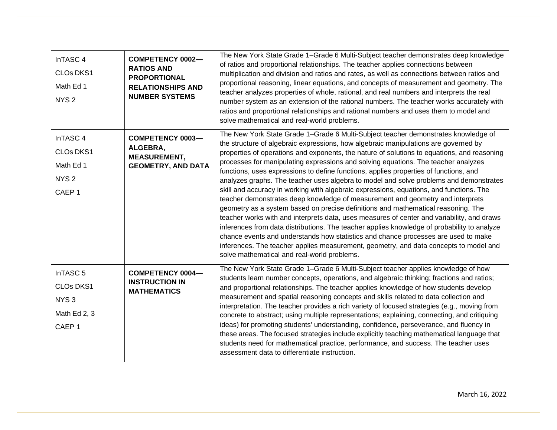| InTASC <sub>4</sub><br><b>CLOs DKS1</b><br>Math Ed 1<br>NYS <sub>2</sub>                         | <b>COMPETENCY 0002-</b><br><b>RATIOS AND</b><br><b>PROPORTIONAL</b><br><b>RELATIONSHIPS AND</b><br><b>NUMBER SYSTEMS</b> | The New York State Grade 1-Grade 6 Multi-Subject teacher demonstrates deep knowledge<br>of ratios and proportional relationships. The teacher applies connections between<br>multiplication and division and ratios and rates, as well as connections between ratios and<br>proportional reasoning, linear equations, and concepts of measurement and geometry. The<br>teacher analyzes properties of whole, rational, and real numbers and interprets the real<br>number system as an extension of the rational numbers. The teacher works accurately with<br>ratios and proportional relationships and rational numbers and uses them to model and<br>solve mathematical and real-world problems.                                                                                                                                                                                                                                                                                                                                                                                                                                                                                                                                            |
|--------------------------------------------------------------------------------------------------|--------------------------------------------------------------------------------------------------------------------------|------------------------------------------------------------------------------------------------------------------------------------------------------------------------------------------------------------------------------------------------------------------------------------------------------------------------------------------------------------------------------------------------------------------------------------------------------------------------------------------------------------------------------------------------------------------------------------------------------------------------------------------------------------------------------------------------------------------------------------------------------------------------------------------------------------------------------------------------------------------------------------------------------------------------------------------------------------------------------------------------------------------------------------------------------------------------------------------------------------------------------------------------------------------------------------------------------------------------------------------------|
| InTASC <sub>4</sub><br>CLOs DKS1<br>Math Ed 1<br>NYS <sub>2</sub><br>CAEP <sub>1</sub>           | <b>COMPETENCY 0003-</b><br>ALGEBRA,<br><b>MEASUREMENT,</b><br><b>GEOMETRY, AND DATA</b>                                  | The New York State Grade 1-Grade 6 Multi-Subject teacher demonstrates knowledge of<br>the structure of algebraic expressions, how algebraic manipulations are governed by<br>properties of operations and exponents, the nature of solutions to equations, and reasoning<br>processes for manipulating expressions and solving equations. The teacher analyzes<br>functions, uses expressions to define functions, applies properties of functions, and<br>analyzes graphs. The teacher uses algebra to model and solve problems and demonstrates<br>skill and accuracy in working with algebraic expressions, equations, and functions. The<br>teacher demonstrates deep knowledge of measurement and geometry and interprets<br>geometry as a system based on precise definitions and mathematical reasoning. The<br>teacher works with and interprets data, uses measures of center and variability, and draws<br>inferences from data distributions. The teacher applies knowledge of probability to analyze<br>chance events and understands how statistics and chance processes are used to make<br>inferences. The teacher applies measurement, geometry, and data concepts to model and<br>solve mathematical and real-world problems. |
| InTASC <sub>5</sub><br><b>CLOs DKS1</b><br>NYS <sub>3</sub><br>Math Ed 2, 3<br>CAEP <sub>1</sub> | <b>COMPETENCY 0004-</b><br><b>INSTRUCTION IN</b><br><b>MATHEMATICS</b>                                                   | The New York State Grade 1-Grade 6 Multi-Subject teacher applies knowledge of how<br>students learn number concepts, operations, and algebraic thinking; fractions and ratios;<br>and proportional relationships. The teacher applies knowledge of how students develop<br>measurement and spatial reasoning concepts and skills related to data collection and<br>interpretation. The teacher provides a rich variety of focused strategies (e.g., moving from<br>concrete to abstract; using multiple representations; explaining, connecting, and critiquing<br>ideas) for promoting students' understanding, confidence, perseverance, and fluency in<br>these areas. The focused strategies include explicitly teaching mathematical language that<br>students need for mathematical practice, performance, and success. The teacher uses<br>assessment data to differentiate instruction.                                                                                                                                                                                                                                                                                                                                                |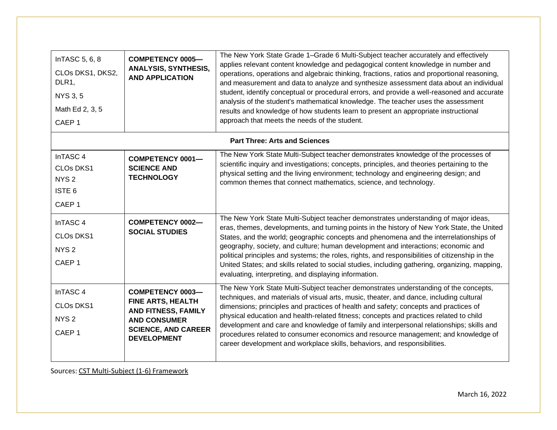| InTASC 5, 6, 8<br>CLOs DKS1, DKS2,<br>DLR1,<br><b>NYS 3, 5</b><br>Math Ed 2, 3, 5<br>CAEP <sub>1</sub> | <b>COMPETENCY 0005-</b><br><b>ANALYSIS, SYNTHESIS,</b><br><b>AND APPLICATION</b>                                                                      | The New York State Grade 1-Grade 6 Multi-Subject teacher accurately and effectively<br>applies relevant content knowledge and pedagogical content knowledge in number and<br>operations, operations and algebraic thinking, fractions, ratios and proportional reasoning,<br>and measurement and data to analyze and synthesize assessment data about an individual<br>student, identify conceptual or procedural errors, and provide a well-reasoned and accurate<br>analysis of the student's mathematical knowledge. The teacher uses the assessment<br>results and knowledge of how students learn to present an appropriate instructional<br>approach that meets the needs of the student. |
|--------------------------------------------------------------------------------------------------------|-------------------------------------------------------------------------------------------------------------------------------------------------------|-------------------------------------------------------------------------------------------------------------------------------------------------------------------------------------------------------------------------------------------------------------------------------------------------------------------------------------------------------------------------------------------------------------------------------------------------------------------------------------------------------------------------------------------------------------------------------------------------------------------------------------------------------------------------------------------------|
|                                                                                                        |                                                                                                                                                       | <b>Part Three: Arts and Sciences</b>                                                                                                                                                                                                                                                                                                                                                                                                                                                                                                                                                                                                                                                            |
| InTASC 4<br><b>CLOs DKS1</b><br>NYS <sub>2</sub><br>ISTE <sub>6</sub><br>CAEP <sub>1</sub>             | <b>COMPETENCY 0001-</b><br><b>SCIENCE AND</b><br><b>TECHNOLOGY</b>                                                                                    | The New York State Multi-Subject teacher demonstrates knowledge of the processes of<br>scientific inquiry and investigations; concepts, principles, and theories pertaining to the<br>physical setting and the living environment; technology and engineering design; and<br>common themes that connect mathematics, science, and technology.                                                                                                                                                                                                                                                                                                                                                   |
| InTASC 4<br><b>CLOs DKS1</b><br>NYS <sub>2</sub><br>CAEP <sub>1</sub>                                  | <b>COMPETENCY 0002-</b><br><b>SOCIAL STUDIES</b>                                                                                                      | The New York State Multi-Subject teacher demonstrates understanding of major ideas,<br>eras, themes, developments, and turning points in the history of New York State, the United<br>States, and the world; geographic concepts and phenomena and the interrelationships of<br>geography, society, and culture; human development and interactions; economic and<br>political principles and systems; the roles, rights, and responsibilities of citizenship in the<br>United States; and skills related to social studies, including gathering, organizing, mapping,<br>evaluating, interpreting, and displaying information.                                                                 |
| InTASC <sub>4</sub><br><b>CLOs DKS1</b><br>NYS <sub>2</sub><br>CAEP <sub>1</sub>                       | <b>COMPETENCY 0003-</b><br><b>FINE ARTS, HEALTH</b><br>AND FITNESS, FAMILY<br><b>AND CONSUMER</b><br><b>SCIENCE, AND CAREER</b><br><b>DEVELOPMENT</b> | The New York State Multi-Subject teacher demonstrates understanding of the concepts,<br>techniques, and materials of visual arts, music, theater, and dance, including cultural<br>dimensions; principles and practices of health and safety; concepts and practices of<br>physical education and health-related fitness; concepts and practices related to child<br>development and care and knowledge of family and interpersonal relationships; skills and<br>procedures related to consumer economics and resource management; and knowledge of<br>career development and workplace skills, behaviors, and responsibilities.                                                                |

Sources: CST [Multi-Subject](http://www.nystce.nesinc.com/content/docs/NY_fld221_222_245_objs.pdf) (1-6) Framework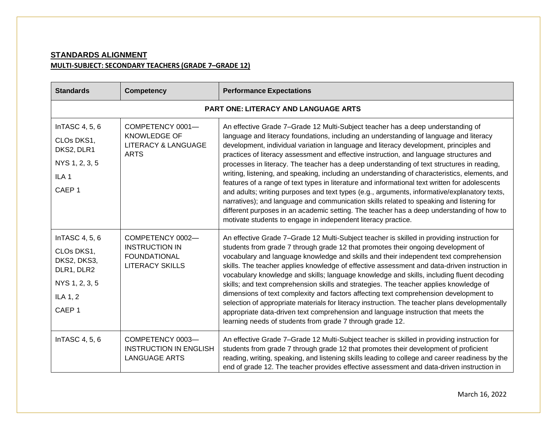# **STANDARDS ALIGNMENT MULTI-SUBJECT: SECONDARY TEACHERS (GRADE 7–GRADE 12)**

| <b>Standards</b>                                                                                             | <b>Competency</b>                                                                          | <b>Performance Expectations</b>                                                                                                                                                                                                                                                                                                                                                                                                                                                                                                                                                                                                                                                                                                                                                                                                                                                                                                                                                                                            |  |
|--------------------------------------------------------------------------------------------------------------|--------------------------------------------------------------------------------------------|----------------------------------------------------------------------------------------------------------------------------------------------------------------------------------------------------------------------------------------------------------------------------------------------------------------------------------------------------------------------------------------------------------------------------------------------------------------------------------------------------------------------------------------------------------------------------------------------------------------------------------------------------------------------------------------------------------------------------------------------------------------------------------------------------------------------------------------------------------------------------------------------------------------------------------------------------------------------------------------------------------------------------|--|
|                                                                                                              | <b>PART ONE: LITERACY AND LANGUAGE ARTS</b>                                                |                                                                                                                                                                                                                                                                                                                                                                                                                                                                                                                                                                                                                                                                                                                                                                                                                                                                                                                                                                                                                            |  |
| InTASC 4, 5, 6<br>CLOs DKS1,<br>DKS2, DLR1<br>NYS 1, 2, 3, 5<br>ILA <sub>1</sub><br>CAEP <sub>1</sub>        | COMPETENCY 0001-<br><b>KNOWLEDGE OF</b><br><b>LITERACY &amp; LANGUAGE</b><br><b>ARTS</b>   | An effective Grade 7-Grade 12 Multi-Subject teacher has a deep understanding of<br>language and literacy foundations, including an understanding of language and literacy<br>development, individual variation in language and literacy development, principles and<br>practices of literacy assessment and effective instruction, and language structures and<br>processes in literacy. The teacher has a deep understanding of text structures in reading,<br>writing, listening, and speaking, including an understanding of characteristics, elements, and<br>features of a range of text types in literature and informational text written for adolescents<br>and adults; writing purposes and text types (e.g., arguments, informative/explanatory texts,<br>narratives); and language and communication skills related to speaking and listening for<br>different purposes in an academic setting. The teacher has a deep understanding of how to<br>motivate students to engage in independent literacy practice. |  |
| InTASC 4, 5, 6<br>CLOs DKS1,<br>DKS2, DKS3,<br>DLR1, DLR2<br>NYS 1, 2, 3, 5<br>ILA 1, 2<br>CAEP <sub>1</sub> | COMPETENCY 0002-<br><b>INSTRUCTION IN</b><br><b>FOUNDATIONAL</b><br><b>LITERACY SKILLS</b> | An effective Grade 7-Grade 12 Multi-Subject teacher is skilled in providing instruction for<br>students from grade 7 through grade 12 that promotes their ongoing development of<br>vocabulary and language knowledge and skills and their independent text comprehension<br>skills. The teacher applies knowledge of effective assessment and data-driven instruction in<br>vocabulary knowledge and skills; language knowledge and skills, including fluent decoding<br>skills; and text comprehension skills and strategies. The teacher applies knowledge of<br>dimensions of text complexity and factors affecting text comprehension development to<br>selection of appropriate materials for literacy instruction. The teacher plans developmentally<br>appropriate data-driven text comprehension and language instruction that meets the<br>learning needs of students from grade 7 through grade 12.                                                                                                             |  |
| InTASC 4, 5, 6                                                                                               | COMPETENCY 0003-<br><b>INSTRUCTION IN ENGLISH</b><br><b>LANGUAGE ARTS</b>                  | An effective Grade 7-Grade 12 Multi-Subject teacher is skilled in providing instruction for<br>students from grade 7 through grade 12 that promotes their development of proficient<br>reading, writing, speaking, and listening skills leading to college and career readiness by the<br>end of grade 12. The teacher provides effective assessment and data-driven instruction in                                                                                                                                                                                                                                                                                                                                                                                                                                                                                                                                                                                                                                        |  |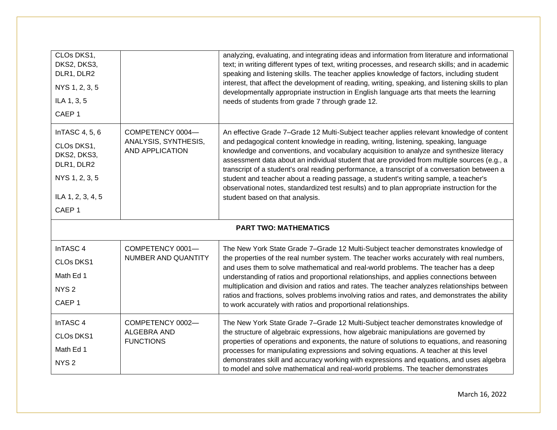| CLOs DKS1,<br>DKS2, DKS3,<br>DLR1, DLR2<br>NYS 1, 2, 3, 5<br>ILA 1, 3, 5<br>CAEP <sub>1</sub>                         |                                                                    | analyzing, evaluating, and integrating ideas and information from literature and informational<br>text; in writing different types of text, writing processes, and research skills; and in academic<br>speaking and listening skills. The teacher applies knowledge of factors, including student<br>interest, that affect the development of reading, writing, speaking, and listening skills to plan<br>developmentally appropriate instruction in English language arts that meets the learning<br>needs of students from grade 7 through grade 12.                                                                                                                                                  |  |  |
|-----------------------------------------------------------------------------------------------------------------------|--------------------------------------------------------------------|---------------------------------------------------------------------------------------------------------------------------------------------------------------------------------------------------------------------------------------------------------------------------------------------------------------------------------------------------------------------------------------------------------------------------------------------------------------------------------------------------------------------------------------------------------------------------------------------------------------------------------------------------------------------------------------------------------|--|--|
| InTASC 4, 5, 6<br>CLOs DKS1,<br>DKS2, DKS3,<br>DLR1, DLR2<br>NYS 1, 2, 3, 5<br>ILA 1, 2, 3, 4, 5<br>CAEP <sub>1</sub> | COMPETENCY 0004-<br>ANALYSIS, SYNTHESIS,<br><b>AND APPLICATION</b> | An effective Grade 7-Grade 12 Multi-Subject teacher applies relevant knowledge of content<br>and pedagogical content knowledge in reading, writing, listening, speaking, language<br>knowledge and conventions, and vocabulary acquisition to analyze and synthesize literacy<br>assessment data about an individual student that are provided from multiple sources (e.g., a<br>transcript of a student's oral reading performance, a transcript of a conversation between a<br>student and teacher about a reading passage, a student's writing sample, a teacher's<br>observational notes, standardized test results) and to plan appropriate instruction for the<br>student based on that analysis. |  |  |
|                                                                                                                       | <b>PART TWO: MATHEMATICS</b>                                       |                                                                                                                                                                                                                                                                                                                                                                                                                                                                                                                                                                                                                                                                                                         |  |  |
| InTASC <sub>4</sub><br>CLOs DKS1<br>Math Ed 1<br>NYS <sub>2</sub><br>CAEP <sub>1</sub>                                | COMPETENCY 0001-<br>NUMBER AND QUANTITY                            | The New York State Grade 7-Grade 12 Multi-Subject teacher demonstrates knowledge of<br>the properties of the real number system. The teacher works accurately with real numbers,<br>and uses them to solve mathematical and real-world problems. The teacher has a deep<br>understanding of ratios and proportional relationships, and applies connections between<br>multiplication and division and ratios and rates. The teacher analyzes relationships between<br>ratios and fractions, solves problems involving ratios and rates, and demonstrates the ability<br>to work accurately with ratios and proportional relationships.                                                                  |  |  |
| InTASC <sub>4</sub><br>CLOs DKS1<br>Math Ed 1<br>NYS <sub>2</sub>                                                     | COMPETENCY 0002-<br>ALGEBRA AND<br><b>FUNCTIONS</b>                | The New York State Grade 7-Grade 12 Multi-Subject teacher demonstrates knowledge of<br>the structure of algebraic expressions, how algebraic manipulations are governed by<br>properties of operations and exponents, the nature of solutions to equations, and reasoning<br>processes for manipulating expressions and solving equations. A teacher at this level<br>demonstrates skill and accuracy working with expressions and equations, and uses algebra<br>to model and solve mathematical and real-world problems. The teacher demonstrates                                                                                                                                                     |  |  |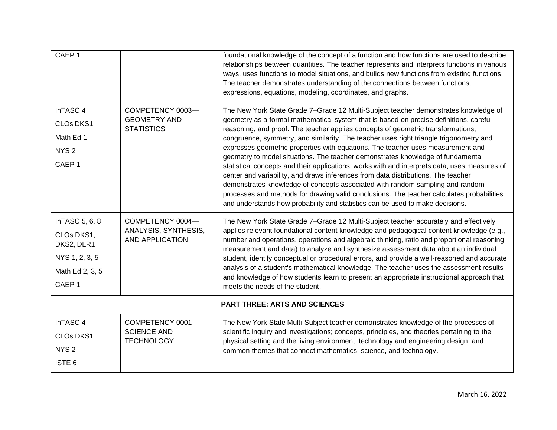| CAEP <sub>1</sub>                                                                                    |                                                                    | foundational knowledge of the concept of a function and how functions are used to describe<br>relationships between quantities. The teacher represents and interprets functions in various<br>ways, uses functions to model situations, and builds new functions from existing functions.<br>The teacher demonstrates understanding of the connections between functions,<br>expressions, equations, modeling, coordinates, and graphs.                                                                                                                                                                                                                                                                                                                                                                                                                                                                                                                                                |
|------------------------------------------------------------------------------------------------------|--------------------------------------------------------------------|----------------------------------------------------------------------------------------------------------------------------------------------------------------------------------------------------------------------------------------------------------------------------------------------------------------------------------------------------------------------------------------------------------------------------------------------------------------------------------------------------------------------------------------------------------------------------------------------------------------------------------------------------------------------------------------------------------------------------------------------------------------------------------------------------------------------------------------------------------------------------------------------------------------------------------------------------------------------------------------|
| InTASC <sub>4</sub><br><b>CLOs DKS1</b><br>Math Ed 1<br>NYS <sub>2</sub><br>CAEP <sub>1</sub>        | COMPETENCY 0003-<br><b>GEOMETRY AND</b><br><b>STATISTICS</b>       | The New York State Grade 7-Grade 12 Multi-Subject teacher demonstrates knowledge of<br>geometry as a formal mathematical system that is based on precise definitions, careful<br>reasoning, and proof. The teacher applies concepts of geometric transformations,<br>congruence, symmetry, and similarity. The teacher uses right triangle trigonometry and<br>expresses geometric properties with equations. The teacher uses measurement and<br>geometry to model situations. The teacher demonstrates knowledge of fundamental<br>statistical concepts and their applications, works with and interprets data, uses measures of<br>center and variability, and draws inferences from data distributions. The teacher<br>demonstrates knowledge of concepts associated with random sampling and random<br>processes and methods for drawing valid conclusions. The teacher calculates probabilities<br>and understands how probability and statistics can be used to make decisions. |
| InTASC 5, 6, 8<br>CLOs DKS1,<br>DKS2, DLR1<br>NYS 1, 2, 3, 5<br>Math Ed 2, 3, 5<br>CAEP <sub>1</sub> | COMPETENCY 0004-<br>ANALYSIS, SYNTHESIS,<br><b>AND APPLICATION</b> | The New York State Grade 7-Grade 12 Multi-Subject teacher accurately and effectively<br>applies relevant foundational content knowledge and pedagogical content knowledge (e.g.,<br>number and operations, operations and algebraic thinking, ratio and proportional reasoning,<br>measurement and data) to analyze and synthesize assessment data about an individual<br>student, identify conceptual or procedural errors, and provide a well-reasoned and accurate<br>analysis of a student's mathematical knowledge. The teacher uses the assessment results<br>and knowledge of how students learn to present an appropriate instructional approach that<br>meets the needs of the student.                                                                                                                                                                                                                                                                                       |
| <b>PART THREE: ARTS AND SCIENCES</b>                                                                 |                                                                    |                                                                                                                                                                                                                                                                                                                                                                                                                                                                                                                                                                                                                                                                                                                                                                                                                                                                                                                                                                                        |
| InTASC 4<br>CLOs DKS1<br>NYS <sub>2</sub><br>ISTE <sub>6</sub>                                       | COMPETENCY 0001-<br><b>SCIENCE AND</b><br><b>TECHNOLOGY</b>        | The New York State Multi-Subject teacher demonstrates knowledge of the processes of<br>scientific inquiry and investigations; concepts, principles, and theories pertaining to the<br>physical setting and the living environment; technology and engineering design; and<br>common themes that connect mathematics, science, and technology.                                                                                                                                                                                                                                                                                                                                                                                                                                                                                                                                                                                                                                          |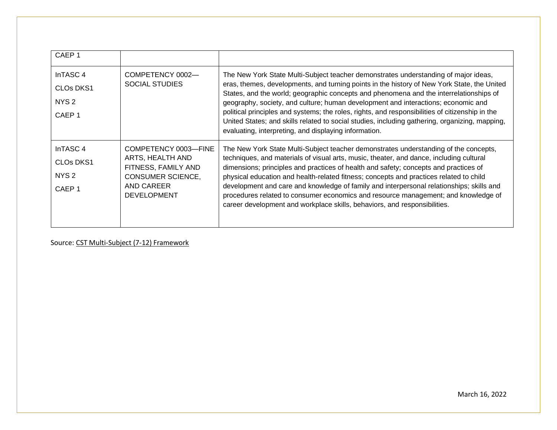| CAEP <sub>1</sub>                                                                                 |                                                                                                                                 |                                                                                                                                                                                                                                                                                                                                                                                                                                                                                                                                                                                                                                  |
|---------------------------------------------------------------------------------------------------|---------------------------------------------------------------------------------------------------------------------------------|----------------------------------------------------------------------------------------------------------------------------------------------------------------------------------------------------------------------------------------------------------------------------------------------------------------------------------------------------------------------------------------------------------------------------------------------------------------------------------------------------------------------------------------------------------------------------------------------------------------------------------|
| InTASC <sub>4</sub><br>CLO <sub>s</sub> DK <sub>S1</sub><br>NYS <sub>2</sub><br>CAEP <sub>1</sub> | COMPETENCY 0002-<br><b>SOCIAL STUDIES</b>                                                                                       | The New York State Multi-Subject teacher demonstrates understanding of major ideas,<br>eras, themes, developments, and turning points in the history of New York State, the United<br>States, and the world; geographic concepts and phenomena and the interrelationships of<br>geography, society, and culture; human development and interactions; economic and<br>political principles and systems; the roles, rights, and responsibilities of citizenship in the<br>United States; and skills related to social studies, including gathering, organizing, mapping,<br>evaluating, interpreting, and displaying information.  |
| InTASC 4<br>CLO <sub>s</sub> DK <sub>S1</sub><br>NYS <sub>2</sub><br>CAEP <sub>1</sub>            | COMPETENCY 0003-FINE<br>ARTS, HEALTH AND<br>FITNESS, FAMILY AND<br><b>CONSUMER SCIENCE,</b><br>AND CAREER<br><b>DEVELOPMENT</b> | The New York State Multi-Subject teacher demonstrates understanding of the concepts,<br>techniques, and materials of visual arts, music, theater, and dance, including cultural<br>dimensions; principles and practices of health and safety; concepts and practices of<br>physical education and health-related fitness; concepts and practices related to child<br>development and care and knowledge of family and interpersonal relationships; skills and<br>procedures related to consumer economics and resource management; and knowledge of<br>career development and workplace skills, behaviors, and responsibilities. |

Source: CST [Multi-Subject](http://www.nystce.nesinc.com/content/docs/NY_fld241_244_245_objs.pdf) (7-12) Framework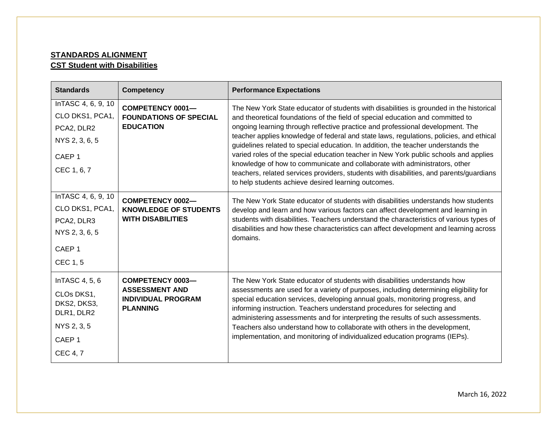## **STANDARDS ALIGNMENT CST Student with Disabilities**

| <b>Standards</b>                                                                                                 | <b>Competency</b>                                                                                | <b>Performance Expectations</b>                                                                                                                                                                                                                                                                                                                                                                                                                                                                                                                                                                                                                                                                                                                                     |
|------------------------------------------------------------------------------------------------------------------|--------------------------------------------------------------------------------------------------|---------------------------------------------------------------------------------------------------------------------------------------------------------------------------------------------------------------------------------------------------------------------------------------------------------------------------------------------------------------------------------------------------------------------------------------------------------------------------------------------------------------------------------------------------------------------------------------------------------------------------------------------------------------------------------------------------------------------------------------------------------------------|
| InTASC 4, 6, 9, 10<br>CLO DKS1, PCA1,<br>PCA2, DLR2<br>NYS 2, 3, 6, 5<br>CAEP <sub>1</sub><br>CEC 1, 6, 7        | <b>COMPETENCY 0001-</b><br><b>FOUNDATIONS OF SPECIAL</b><br><b>EDUCATION</b>                     | The New York State educator of students with disabilities is grounded in the historical<br>and theoretical foundations of the field of special education and committed to<br>ongoing learning through reflective practice and professional development. The<br>teacher applies knowledge of federal and state laws, regulations, policies, and ethical<br>guidelines related to special education. In addition, the teacher understands the<br>varied roles of the special education teacher in New York public schools and applies<br>knowledge of how to communicate and collaborate with administrators, other<br>teachers, related services providers, students with disabilities, and parents/guardians<br>to help students achieve desired learning outcomes. |
| InTASC 4, 6, 9, 10<br>CLO DKS1, PCA1,<br>PCA2, DLR3<br>NYS 2, 3, 6, 5<br>CAEP <sub>1</sub><br>CEC 1, 5           | <b>COMPETENCY 0002-</b><br><b>KNOWLEDGE OF STUDENTS</b><br><b>WITH DISABILITIES</b>              | The New York State educator of students with disabilities understands how students<br>develop and learn and how various factors can affect development and learning in<br>students with disabilities. Teachers understand the characteristics of various types of<br>disabilities and how these characteristics can affect development and learning across<br>domains.                                                                                                                                                                                                                                                                                                                                                                                              |
| InTASC 4, 5, 6<br>CLOs DKS1,<br>DKS2, DKS3,<br>DLR1, DLR2<br>NYS 2, 3, 5<br>CAEP <sub>1</sub><br><b>CEC 4, 7</b> | <b>COMPETENCY 0003-</b><br><b>ASSESSMENT AND</b><br><b>INDIVIDUAL PROGRAM</b><br><b>PLANNING</b> | The New York State educator of students with disabilities understands how<br>assessments are used for a variety of purposes, including determining eligibility for<br>special education services, developing annual goals, monitoring progress, and<br>informing instruction. Teachers understand procedures for selecting and<br>administering assessments and for interpreting the results of such assessments.<br>Teachers also understand how to collaborate with others in the development,<br>implementation, and monitoring of individualized education programs (IEPs).                                                                                                                                                                                     |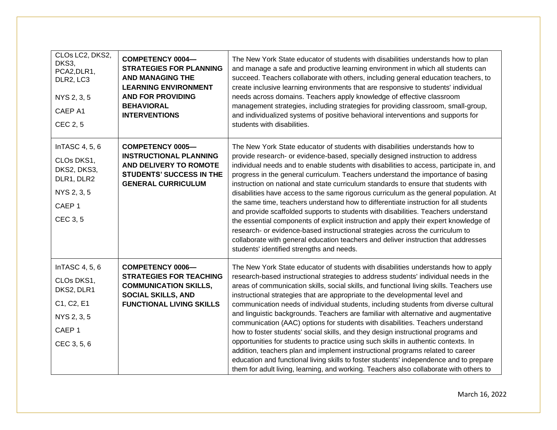| CLOs LC2, DKS2,<br>DKS3,<br>PCA2, DLR1,<br>DLR2, LC3<br>NYS 2, 3, 5<br>CAEP A1<br>CEC 2, 5                  | <b>COMPETENCY 0004-</b><br><b>STRATEGIES FOR PLANNING</b><br><b>AND MANAGING THE</b><br><b>LEARNING ENVIRONMENT</b><br><b>AND FOR PROVIDING</b><br><b>BEHAVIORAL</b><br><b>INTERVENTIONS</b> | The New York State educator of students with disabilities understands how to plan<br>and manage a safe and productive learning environment in which all students can<br>succeed. Teachers collaborate with others, including general education teachers, to<br>create inclusive learning environments that are responsive to students' individual<br>needs across domains. Teachers apply knowledge of effective classroom<br>management strategies, including strategies for providing classroom, small-group,<br>and individualized systems of positive behavioral interventions and supports for<br>students with disabilities.                                                                                                                                                                                                                                                                                                                                                                                                                                        |
|-------------------------------------------------------------------------------------------------------------|----------------------------------------------------------------------------------------------------------------------------------------------------------------------------------------------|---------------------------------------------------------------------------------------------------------------------------------------------------------------------------------------------------------------------------------------------------------------------------------------------------------------------------------------------------------------------------------------------------------------------------------------------------------------------------------------------------------------------------------------------------------------------------------------------------------------------------------------------------------------------------------------------------------------------------------------------------------------------------------------------------------------------------------------------------------------------------------------------------------------------------------------------------------------------------------------------------------------------------------------------------------------------------|
| InTASC 4, 5, 6<br>CLOs DKS1,<br>DKS2, DKS3,<br>DLR1, DLR2<br>NYS 2, 3, 5<br>CAEP <sub>1</sub><br>CEC 3, 5   | <b>COMPETENCY 0005-</b><br><b>INSTRUCTIONAL PLANNING</b><br>AND DELIVERY TO ROMOTE<br><b>STUDENTS' SUCCESS IN THE</b><br><b>GENERAL CURRICULUM</b>                                           | The New York State educator of students with disabilities understands how to<br>provide research- or evidence-based, specially designed instruction to address<br>individual needs and to enable students with disabilities to access, participate in, and<br>progress in the general curriculum. Teachers understand the importance of basing<br>instruction on national and state curriculum standards to ensure that students with<br>disabilities have access to the same rigorous curriculum as the general population. At<br>the same time, teachers understand how to differentiate instruction for all students<br>and provide scaffolded supports to students with disabilities. Teachers understand<br>the essential components of explicit instruction and apply their expert knowledge of<br>research- or evidence-based instructional strategies across the curriculum to<br>collaborate with general education teachers and deliver instruction that addresses<br>students' identified strengths and needs.                                                 |
| InTASC 4, 5, 6<br>CLOs DKS1,<br>DKS2, DLR1<br>C1, C2, E1<br>NYS 2, 3, 5<br>CAEP <sub>1</sub><br>CEC 3, 5, 6 | <b>COMPETENCY 0006-</b><br><b>STRATEGIES FOR TEACHING</b><br><b>COMMUNICATION SKILLS,</b><br><b>SOCIAL SKILLS, AND</b><br><b>FUNCTIONAL LIVING SKILLS</b>                                    | The New York State educator of students with disabilities understands how to apply<br>research-based instructional strategies to address students' individual needs in the<br>areas of communication skills, social skills, and functional living skills. Teachers use<br>instructional strategies that are appropriate to the developmental level and<br>communication needs of individual students, including students from diverse cultural<br>and linguistic backgrounds. Teachers are familiar with alternative and augmentative<br>communication (AAC) options for students with disabilities. Teachers understand<br>how to foster students' social skills, and they design instructional programs and<br>opportunities for students to practice using such skills in authentic contexts. In<br>addition, teachers plan and implement instructional programs related to career<br>education and functional living skills to foster students' independence and to prepare<br>them for adult living, learning, and working. Teachers also collaborate with others to |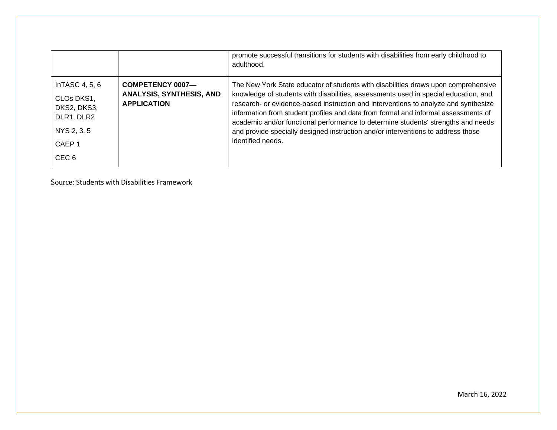|                                                                                                                      |                                                                           | promote successful transitions for students with disabilities from early childhood to<br>adulthood.                                                                                                                                                                                                                                                                                                                                                                                                                                                  |
|----------------------------------------------------------------------------------------------------------------------|---------------------------------------------------------------------------|------------------------------------------------------------------------------------------------------------------------------------------------------------------------------------------------------------------------------------------------------------------------------------------------------------------------------------------------------------------------------------------------------------------------------------------------------------------------------------------------------------------------------------------------------|
| In TASC $4, 5, 6$<br>CLOs DKS1,<br>DKS2, DKS3,<br>DLR1, DLR2<br>NYS 2, 3, 5<br>CAEP <sub>1</sub><br>CEC <sub>6</sub> | COMPETENCY 0007-<br><b>ANALYSIS, SYNTHESIS, AND</b><br><b>APPLICATION</b> | The New York State educator of students with disabilities draws upon comprehensive<br>knowledge of students with disabilities, assessments used in special education, and<br>research- or evidence-based instruction and interventions to analyze and synthesize<br>information from student profiles and data from formal and informal assessments of<br>academic and/or functional performance to determine students' strengths and needs<br>and provide specially designed instruction and/or interventions to address those<br>identified needs. |

Source: Students with Disabilities [Framework](http://www.nystce.nesinc.com/content/docs/NY_fld60_objs.pdf)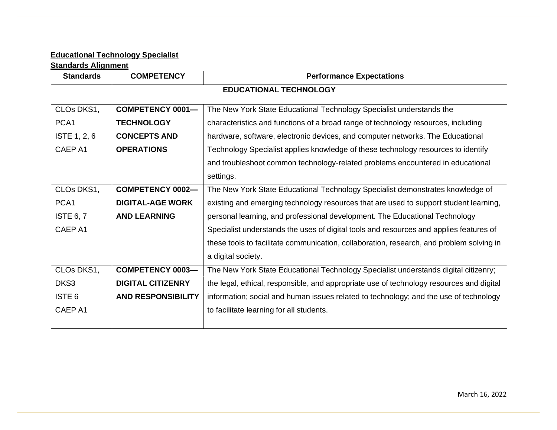# **Educational Technology Specialist**

## **Standards Alignment**

| <b>Standards</b>  | <b>COMPETENCY</b>             | <b>Performance Expectations</b>                                                          |  |
|-------------------|-------------------------------|------------------------------------------------------------------------------------------|--|
|                   | <b>EDUCATIONAL TECHNOLOGY</b> |                                                                                          |  |
| CLOs DKS1,        | <b>COMPETENCY 0001-</b>       | The New York State Educational Technology Specialist understands the                     |  |
| PCA <sub>1</sub>  | <b>TECHNOLOGY</b>             | characteristics and functions of a broad range of technology resources, including        |  |
| ISTE 1, 2, 6      | <b>CONCEPTS AND</b>           | hardware, software, electronic devices, and computer networks. The Educational           |  |
| CAEP A1           | <b>OPERATIONS</b>             | Technology Specialist applies knowledge of these technology resources to identify        |  |
|                   |                               | and troubleshoot common technology-related problems encountered in educational           |  |
|                   |                               | settings.                                                                                |  |
| CLOs DKS1,        | <b>COMPETENCY 0002-</b>       | The New York State Educational Technology Specialist demonstrates knowledge of           |  |
| PCA <sub>1</sub>  | <b>DIGITAL-AGE WORK</b>       | existing and emerging technology resources that are used to support student learning,    |  |
| <b>ISTE 6, 7</b>  | <b>AND LEARNING</b>           | personal learning, and professional development. The Educational Technology              |  |
| CAEP A1           |                               | Specialist understands the uses of digital tools and resources and applies features of   |  |
|                   |                               | these tools to facilitate communication, collaboration, research, and problem solving in |  |
|                   |                               | a digital society.                                                                       |  |
| CLOs DKS1,        | <b>COMPETENCY 0003-</b>       | The New York State Educational Technology Specialist understands digital citizenry;      |  |
| DKS3              | <b>DIGITAL CITIZENRY</b>      | the legal, ethical, responsible, and appropriate use of technology resources and digital |  |
| ISTE <sub>6</sub> | <b>AND RESPONSIBILITY</b>     | information; social and human issues related to technology; and the use of technology    |  |
| CAEP A1           |                               | to facilitate learning for all students.                                                 |  |
|                   |                               |                                                                                          |  |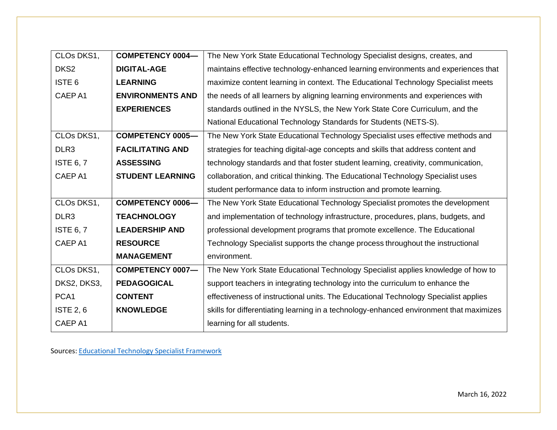| CLOs DKS1,        | <b>COMPETENCY 0004-</b> | The New York State Educational Technology Specialist designs, creates, and              |
|-------------------|-------------------------|-----------------------------------------------------------------------------------------|
| DKS <sub>2</sub>  | <b>DIGITAL-AGE</b>      | maintains effective technology-enhanced learning environments and experiences that      |
| ISTE <sub>6</sub> | <b>LEARNING</b>         | maximize content learning in context. The Educational Technology Specialist meets       |
| CAEP A1           | <b>ENVIRONMENTS AND</b> | the needs of all learners by aligning learning environments and experiences with        |
|                   | <b>EXPERIENCES</b>      | standards outlined in the NYSLS, the New York State Core Curriculum, and the            |
|                   |                         | National Educational Technology Standards for Students (NETS-S).                        |
| CLOs DKS1,        | <b>COMPETENCY 0005-</b> | The New York State Educational Technology Specialist uses effective methods and         |
| DLR <sub>3</sub>  | <b>FACILITATING AND</b> | strategies for teaching digital-age concepts and skills that address content and        |
| <b>ISTE 6, 7</b>  | <b>ASSESSING</b>        | technology standards and that foster student learning, creativity, communication,       |
| CAEP A1           | <b>STUDENT LEARNING</b> | collaboration, and critical thinking. The Educational Technology Specialist uses        |
|                   |                         | student performance data to inform instruction and promote learning.                    |
| CLOs DKS1,        | <b>COMPETENCY 0006-</b> | The New York State Educational Technology Specialist promotes the development           |
| DLR <sub>3</sub>  | <b>TEACHNOLOGY</b>      | and implementation of technology infrastructure, procedures, plans, budgets, and        |
| <b>ISTE 6, 7</b>  | <b>LEADERSHIP AND</b>   | professional development programs that promote excellence. The Educational              |
| CAEP A1           | <b>RESOURCE</b>         | Technology Specialist supports the change process throughout the instructional          |
|                   | <b>MANAGEMENT</b>       | environment.                                                                            |
| CLOs DKS1,        | <b>COMPETENCY 0007-</b> | The New York State Educational Technology Specialist applies knowledge of how to        |
| DKS2, DKS3,       | <b>PEDAGOGICAL</b>      | support teachers in integrating technology into the curriculum to enhance the           |
| PCA <sub>1</sub>  | <b>CONTENT</b>          | effectiveness of instructional units. The Educational Technology Specialist applies     |
| <b>ISTE 2, 6</b>  | <b>KNOWLEDGE</b>        | skills for differentiating learning in a technology-enhanced environment that maximizes |
| CAEP A1           |                         | learning for all students.                                                              |

Sources: [Educational](http://www.nystce.nesinc.com/content/docs/NY_fld71_objs.pdf) Technology Specialist Framework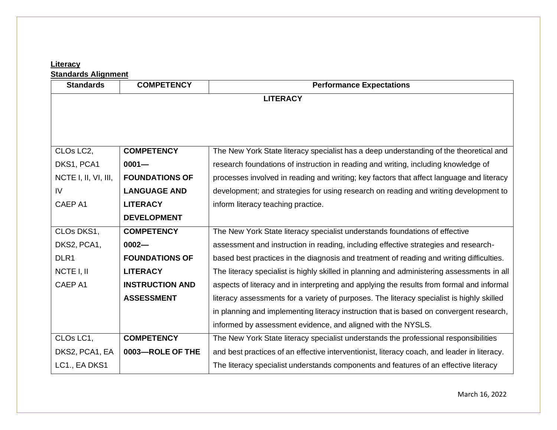### **Literacy**

**Standards Alignment**

| <b>Standards</b>     | <b>COMPETENCY</b>      | <b>Performance Expectations</b>                                                             |
|----------------------|------------------------|---------------------------------------------------------------------------------------------|
|                      |                        | <b>LITERACY</b>                                                                             |
|                      |                        |                                                                                             |
|                      |                        |                                                                                             |
|                      |                        |                                                                                             |
| CLOs LC2,            | <b>COMPETENCY</b>      | The New York State literacy specialist has a deep understanding of the theoretical and      |
| DKS1, PCA1           | $0001 -$               | research foundations of instruction in reading and writing, including knowledge of          |
| NCTE I, II, VI, III, | <b>FOUNDATIONS OF</b>  | processes involved in reading and writing; key factors that affect language and literacy    |
| IV                   | <b>LANGUAGE AND</b>    | development; and strategies for using research on reading and writing development to        |
| CAEP A1              | <b>LITERACY</b>        | inform literacy teaching practice.                                                          |
|                      | <b>DEVELOPMENT</b>     |                                                                                             |
| CLOs DKS1,           | <b>COMPETENCY</b>      | The New York State literacy specialist understands foundations of effective                 |
| DKS2, PCA1,          | $0002 -$               | assessment and instruction in reading, including effective strategies and research-         |
| DLR <sub>1</sub>     | <b>FOUNDATIONS OF</b>  | based best practices in the diagnosis and treatment of reading and writing difficulties.    |
| NCTE I, II           | <b>LITERACY</b>        | The literacy specialist is highly skilled in planning and administering assessments in all  |
| CAEP A1              | <b>INSTRUCTION AND</b> | aspects of literacy and in interpreting and applying the results from formal and informal   |
|                      | <b>ASSESSMENT</b>      | literacy assessments for a variety of purposes. The literacy specialist is highly skilled   |
|                      |                        | in planning and implementing literacy instruction that is based on convergent research,     |
|                      |                        | informed by assessment evidence, and aligned with the NYSLS.                                |
| CLOs LC1,            | <b>COMPETENCY</b>      | The New York State literacy specialist understands the professional responsibilities        |
| DKS2, PCA1, EA       | 0003-ROLE OF THE       | and best practices of an effective interventionist, literacy coach, and leader in literacy. |
| LC1., EA DKS1        |                        | The literacy specialist understands components and features of an effective literacy        |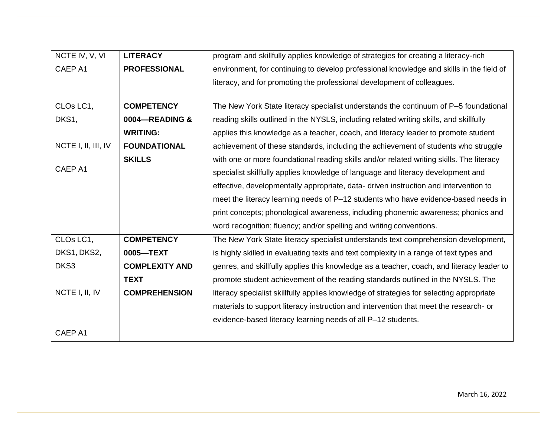| NCTE IV, V, VI      | <b>LITERACY</b>       | program and skillfully applies knowledge of strategies for creating a literacy-rich       |
|---------------------|-----------------------|-------------------------------------------------------------------------------------------|
| CAEP A1             | <b>PROFESSIONAL</b>   | environment, for continuing to develop professional knowledge and skills in the field of  |
|                     |                       | literacy, and for promoting the professional development of colleagues.                   |
|                     |                       |                                                                                           |
| CLOs LC1,           | <b>COMPETENCY</b>     | The New York State literacy specialist understands the continuum of P-5 foundational      |
| DKS1,               | 0004-READING &        | reading skills outlined in the NYSLS, including related writing skills, and skillfully    |
|                     | <b>WRITING:</b>       | applies this knowledge as a teacher, coach, and literacy leader to promote student        |
| NCTE I, II, III, IV | <b>FOUNDATIONAL</b>   | achievement of these standards, including the achievement of students who struggle        |
|                     | <b>SKILLS</b>         | with one or more foundational reading skills and/or related writing skills. The literacy  |
| CAEP A1             |                       | specialist skillfully applies knowledge of language and literacy development and          |
|                     |                       | effective, developmentally appropriate, data-driven instruction and intervention to       |
|                     |                       | meet the literacy learning needs of P-12 students who have evidence-based needs in        |
|                     |                       | print concepts; phonological awareness, including phonemic awareness; phonics and         |
|                     |                       | word recognition; fluency; and/or spelling and writing conventions.                       |
| CLOs LC1,           | <b>COMPETENCY</b>     | The New York State literacy specialist understands text comprehension development,        |
| DKS1, DKS2,         | 0005-TEXT             | is highly skilled in evaluating texts and text complexity in a range of text types and    |
| DKS3                | <b>COMPLEXITY AND</b> | genres, and skillfully applies this knowledge as a teacher, coach, and literacy leader to |
|                     | <b>TEXT</b>           | promote student achievement of the reading standards outlined in the NYSLS. The           |
| NCTE I, II, IV      | <b>COMPREHENSION</b>  | literacy specialist skillfully applies knowledge of strategies for selecting appropriate  |
|                     |                       | materials to support literacy instruction and intervention that meet the research- or     |
|                     |                       | evidence-based literacy learning needs of all P-12 students.                              |
| CAEP A1             |                       |                                                                                           |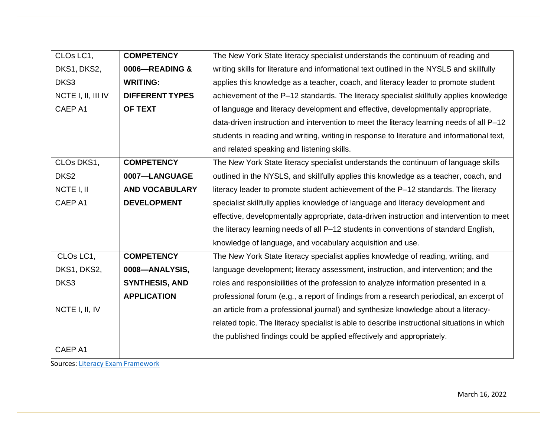| CLOs LC1,          | <b>COMPETENCY</b>      | The New York State literacy specialist understands the continuum of reading and              |
|--------------------|------------------------|----------------------------------------------------------------------------------------------|
| DKS1, DKS2,        | 0006-READING &         | writing skills for literature and informational text outlined in the NYSLS and skillfully    |
| DKS3               | <b>WRITING:</b>        | applies this knowledge as a teacher, coach, and literacy leader to promote student           |
| NCTE I, II, III IV | <b>DIFFERENT TYPES</b> | achievement of the P-12 standards. The literacy specialist skillfully applies knowledge      |
| CAEP A1            | OF TEXT                | of language and literacy development and effective, developmentally appropriate,             |
|                    |                        | data-driven instruction and intervention to meet the literacy learning needs of all P-12     |
|                    |                        | students in reading and writing, writing in response to literature and informational text,   |
|                    |                        | and related speaking and listening skills.                                                   |
| CLOs DKS1,         | <b>COMPETENCY</b>      | The New York State literacy specialist understands the continuum of language skills          |
| DKS <sub>2</sub>   | 0007-LANGUAGE          | outlined in the NYSLS, and skillfully applies this knowledge as a teacher, coach, and        |
| NCTE I, II         | <b>AND VOCABULARY</b>  | literacy leader to promote student achievement of the P-12 standards. The literacy           |
| CAEP A1            | <b>DEVELOPMENT</b>     | specialist skillfully applies knowledge of language and literacy development and             |
|                    |                        | effective, developmentally appropriate, data-driven instruction and intervention to meet     |
|                    |                        | the literacy learning needs of all P-12 students in conventions of standard English,         |
|                    |                        | knowledge of language, and vocabulary acquisition and use.                                   |
| CLOs LC1,          | <b>COMPETENCY</b>      | The New York State literacy specialist applies knowledge of reading, writing, and            |
| DKS1, DKS2,        | 0008-ANALYSIS,         | language development; literacy assessment, instruction, and intervention; and the            |
| DKS3               | <b>SYNTHESIS, AND</b>  | roles and responsibilities of the profession to analyze information presented in a           |
|                    | <b>APPLICATION</b>     | professional forum (e.g., a report of findings from a research periodical, an excerpt of     |
| NCTE I, II, IV     |                        | an article from a professional journal) and synthesize knowledge about a literacy-           |
|                    |                        | related topic. The literacy specialist is able to describe instructional situations in which |
|                    |                        | the published findings could be applied effectively and appropriately.                       |
| CAEP A1            |                        |                                                                                              |

Sources: Literacy Exam [Framework](http://www.nystce.nesinc.com/content/docs/NY_fld65_objs.pdf)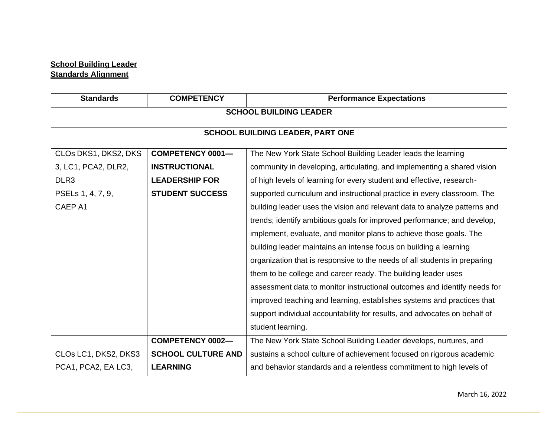# **School Building Leader Standards Alignment**

| <b>Standards</b>                        | <b>COMPETENCY</b>         | <b>Performance Expectations</b>                                           |  |
|-----------------------------------------|---------------------------|---------------------------------------------------------------------------|--|
| <b>SCHOOL BUILDING LEADER</b>           |                           |                                                                           |  |
| <b>SCHOOL BUILDING LEADER, PART ONE</b> |                           |                                                                           |  |
|                                         |                           |                                                                           |  |
| CLOs DKS1, DKS2, DKS                    | <b>COMPETENCY 0001-</b>   | The New York State School Building Leader leads the learning              |  |
| 3, LC1, PCA2, DLR2,                     | <b>INSTRUCTIONAL</b>      | community in developing, articulating, and implementing a shared vision   |  |
| DLR <sub>3</sub>                        | <b>LEADERSHIP FOR</b>     | of high levels of learning for every student and effective, research-     |  |
| PSELs 1, 4, 7, 9,                       | <b>STUDENT SUCCESS</b>    | supported curriculum and instructional practice in every classroom. The   |  |
| CAEP A1                                 |                           | building leader uses the vision and relevant data to analyze patterns and |  |
|                                         |                           | trends; identify ambitious goals for improved performance; and develop,   |  |
|                                         |                           | implement, evaluate, and monitor plans to achieve those goals. The        |  |
|                                         |                           | building leader maintains an intense focus on building a learning         |  |
|                                         |                           | organization that is responsive to the needs of all students in preparing |  |
|                                         |                           | them to be college and career ready. The building leader uses             |  |
|                                         |                           | assessment data to monitor instructional outcomes and identify needs for  |  |
|                                         |                           | improved teaching and learning, establishes systems and practices that    |  |
|                                         |                           | support individual accountability for results, and advocates on behalf of |  |
|                                         |                           | student learning.                                                         |  |
|                                         | <b>COMPETENCY 0002-</b>   | The New York State School Building Leader develops, nurtures, and         |  |
| CLOs LC1, DKS2, DKS3                    | <b>SCHOOL CULTURE AND</b> | sustains a school culture of achievement focused on rigorous academic     |  |
| PCA1, PCA2, EA LC3,                     | <b>LEARNING</b>           | and behavior standards and a relentless commitment to high levels of      |  |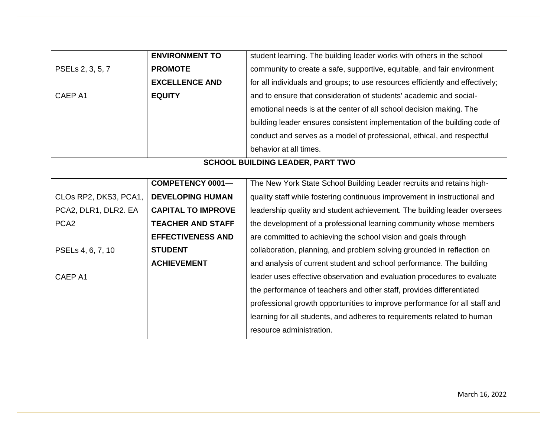|                       | <b>ENVIRONMENT TO</b>     | student learning. The building leader works with others in the school         |
|-----------------------|---------------------------|-------------------------------------------------------------------------------|
| PSELs 2, 3, 5, 7      | <b>PROMOTE</b>            | community to create a safe, supportive, equitable, and fair environment       |
|                       | <b>EXCELLENCE AND</b>     | for all individuals and groups; to use resources efficiently and effectively; |
| CAEP A1               | <b>EQUITY</b>             | and to ensure that consideration of students' academic and social-            |
|                       |                           | emotional needs is at the center of all school decision making. The           |
|                       |                           | building leader ensures consistent implementation of the building code of     |
|                       |                           | conduct and serves as a model of professional, ethical, and respectful        |
|                       |                           | behavior at all times.                                                        |
|                       |                           | <b>SCHOOL BUILDING LEADER, PART TWO</b>                                       |
|                       |                           |                                                                               |
|                       | <b>COMPETENCY 0001-</b>   | The New York State School Building Leader recruits and retains high-          |
| CLOs RP2, DKS3, PCA1, | <b>DEVELOPING HUMAN</b>   | quality staff while fostering continuous improvement in instructional and     |
| PCA2, DLR1, DLR2. EA  | <b>CAPITAL TO IMPROVE</b> | leadership quality and student achievement. The building leader oversees      |
| PCA <sub>2</sub>      | <b>TEACHER AND STAFF</b>  | the development of a professional learning community whose members            |
|                       | <b>EFFECTIVENESS AND</b>  | are committed to achieving the school vision and goals through                |
| PSELs 4, 6, 7, 10     | <b>STUDENT</b>            | collaboration, planning, and problem solving grounded in reflection on        |
|                       | <b>ACHIEVEMENT</b>        | and analysis of current student and school performance. The building          |
| CAEP A1               |                           | leader uses effective observation and evaluation procedures to evaluate       |
|                       |                           | the performance of teachers and other staff, provides differentiated          |
|                       |                           | professional growth opportunities to improve performance for all staff and    |
|                       |                           | learning for all students, and adheres to requirements related to human       |
|                       |                           | resource administration.                                                      |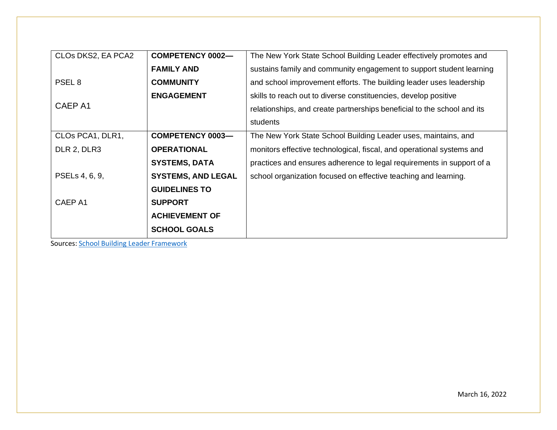| CLOs DKS2, EA PCA2 | <b>COMPETENCY 0002-</b>   | The New York State School Building Leader effectively promotes and      |
|--------------------|---------------------------|-------------------------------------------------------------------------|
|                    | <b>FAMILY AND</b>         | sustains family and community engagement to support student learning    |
| PSEL <sub>8</sub>  | <b>COMMUNITY</b>          | and school improvement efforts. The building leader uses leadership     |
|                    | <b>ENGAGEMENT</b>         | skills to reach out to diverse constituencies, develop positive         |
| CAEP A1            |                           | relationships, and create partnerships beneficial to the school and its |
|                    |                           | students                                                                |
| CLOs PCA1, DLR1,   | <b>COMPETENCY 0003-</b>   | The New York State School Building Leader uses, maintains, and          |
| DLR 2, DLR3        | <b>OPERATIONAL</b>        | monitors effective technological, fiscal, and operational systems and   |
|                    | <b>SYSTEMS, DATA</b>      | practices and ensures adherence to legal requirements in support of a   |
| PSELs 4, 6, 9,     | <b>SYSTEMS, AND LEGAL</b> | school organization focused on effective teaching and learning.         |
|                    | <b>GUIDELINES TO</b>      |                                                                         |
| CAEP A1            | <b>SUPPORT</b>            |                                                                         |
|                    | <b>ACHIEVEMENT OF</b>     |                                                                         |
|                    | <b>SCHOOL GOALS</b>       |                                                                         |

Sources: School Building Leader [Framework](http://www.nystce.nesinc.com/content/docs/NY107_108_OBJ_FINAL.pdf)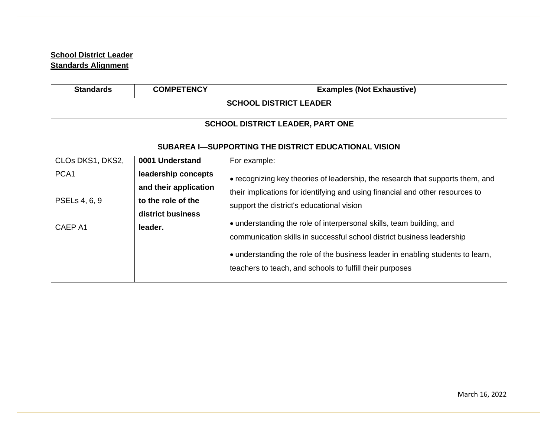## **School District Leader Standards Alignment**

| <b>Standards</b>                                     | <b>COMPETENCY</b>     | <b>Examples (Not Exhaustive)</b>                                               |  |
|------------------------------------------------------|-----------------------|--------------------------------------------------------------------------------|--|
| <b>SCHOOL DISTRICT LEADER</b>                        |                       |                                                                                |  |
|                                                      |                       |                                                                                |  |
| <b>SCHOOL DISTRICT LEADER, PART ONE</b>              |                       |                                                                                |  |
| SUBAREA I-SUPPORTING THE DISTRICT EDUCATIONAL VISION |                       |                                                                                |  |
| CLOs DKS1, DKS2,                                     | 0001 Understand       | For example:                                                                   |  |
| PCA <sub>1</sub>                                     | leadership concepts   | • recognizing key theories of leadership, the research that supports them, and |  |
|                                                      | and their application | their implications for identifying and using financial and other resources to  |  |
| PSELs 4, 6, 9                                        | to the role of the    | support the district's educational vision                                      |  |
|                                                      | district business     |                                                                                |  |
| CAEP A1                                              | leader.               | • understanding the role of interpersonal skills, team building, and           |  |
|                                                      |                       | communication skills in successful school district business leadership         |  |
|                                                      |                       | • understanding the role of the business leader in enabling students to learn, |  |
|                                                      |                       | teachers to teach, and schools to fulfill their purposes                       |  |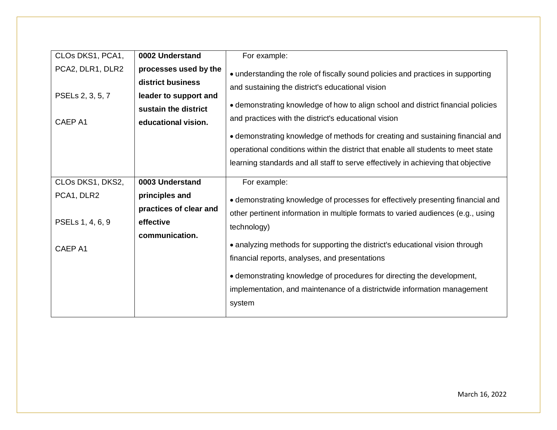| CLOs DKS1, PCA1,                                | 0002 Understand                                                                                                    | For example:                                                                                                                                                                                                                                                                                                                                                                                                                                                                                                                                |
|-------------------------------------------------|--------------------------------------------------------------------------------------------------------------------|---------------------------------------------------------------------------------------------------------------------------------------------------------------------------------------------------------------------------------------------------------------------------------------------------------------------------------------------------------------------------------------------------------------------------------------------------------------------------------------------------------------------------------------------|
| PCA2, DLR1, DLR2<br>PSELs 2, 3, 5, 7<br>CAEP A1 | processes used by the<br>district business<br>leader to support and<br>sustain the district<br>educational vision. | • understanding the role of fiscally sound policies and practices in supporting<br>and sustaining the district's educational vision<br>• demonstrating knowledge of how to align school and district financial policies<br>and practices with the district's educational vision<br>• demonstrating knowledge of methods for creating and sustaining financial and<br>operational conditions within the district that enable all students to meet state<br>learning standards and all staff to serve effectively in achieving that objective |
| CLOs DKS1, DKS2,                                | 0003 Understand                                                                                                    | For example:                                                                                                                                                                                                                                                                                                                                                                                                                                                                                                                                |
| PCA1, DLR2<br>PSELs 1, 4, 6, 9<br>CAEP A1       | principles and<br>practices of clear and<br>effective<br>communication.                                            | • demonstrating knowledge of processes for effectively presenting financial and<br>other pertinent information in multiple formats to varied audiences (e.g., using<br>technology)<br>• analyzing methods for supporting the district's educational vision through<br>financial reports, analyses, and presentations<br>• demonstrating knowledge of procedures for directing the development,<br>implementation, and maintenance of a districtwide information management<br>system                                                        |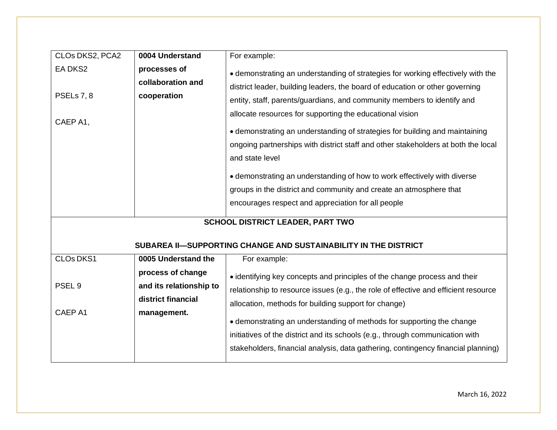| CLOs DKS2, PCA2                   | 0004 Understand                                                    | For example:                                                                                                                                                                                                                                                                                                                                                                                                                                                                                                                                                                                                                                                                                          |
|-----------------------------------|--------------------------------------------------------------------|-------------------------------------------------------------------------------------------------------------------------------------------------------------------------------------------------------------------------------------------------------------------------------------------------------------------------------------------------------------------------------------------------------------------------------------------------------------------------------------------------------------------------------------------------------------------------------------------------------------------------------------------------------------------------------------------------------|
| EA DKS2<br>PSELs 7, 8<br>CAEP A1, | processes of<br>collaboration and<br>cooperation                   | • demonstrating an understanding of strategies for working effectively with the<br>district leader, building leaders, the board of education or other governing<br>entity, staff, parents/guardians, and community members to identify and<br>allocate resources for supporting the educational vision<br>• demonstrating an understanding of strategies for building and maintaining<br>ongoing partnerships with district staff and other stakeholders at both the local<br>and state level<br>• demonstrating an understanding of how to work effectively with diverse<br>groups in the district and community and create an atmosphere that<br>encourages respect and appreciation for all people |
|                                   |                                                                    | <b>SCHOOL DISTRICT LEADER, PART TWO</b>                                                                                                                                                                                                                                                                                                                                                                                                                                                                                                                                                                                                                                                               |
|                                   |                                                                    | SUBAREA II-SUPPORTING CHANGE AND SUSTAINABILITY IN THE DISTRICT                                                                                                                                                                                                                                                                                                                                                                                                                                                                                                                                                                                                                                       |
| <b>CLOs DKS1</b>                  | 0005 Understand the                                                | For example:                                                                                                                                                                                                                                                                                                                                                                                                                                                                                                                                                                                                                                                                                          |
| PSEL <sub>9</sub>                 | process of change<br>and its relationship to<br>district financial | • identifying key concepts and principles of the change process and their<br>relationship to resource issues (e.g., the role of effective and efficient resource<br>allocation, methods for building support for change)                                                                                                                                                                                                                                                                                                                                                                                                                                                                              |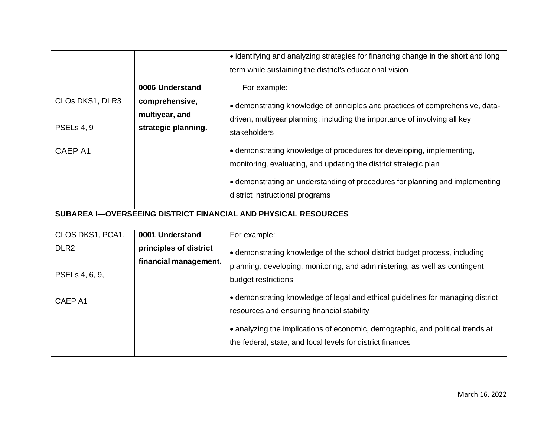|                                          |                                                                            | • identifying and analyzing strategies for financing change in the short and long                                                                                                                                                                                                                                                                                                                                                                          |
|------------------------------------------|----------------------------------------------------------------------------|------------------------------------------------------------------------------------------------------------------------------------------------------------------------------------------------------------------------------------------------------------------------------------------------------------------------------------------------------------------------------------------------------------------------------------------------------------|
|                                          |                                                                            | term while sustaining the district's educational vision                                                                                                                                                                                                                                                                                                                                                                                                    |
| CLOs DKS1, DLR3<br>PSELs 4, 9<br>CAEP A1 | 0006 Understand<br>comprehensive,<br>multiyear, and<br>strategic planning. | For example:<br>• demonstrating knowledge of principles and practices of comprehensive, data-<br>driven, multiyear planning, including the importance of involving all key<br>stakeholders<br>• demonstrating knowledge of procedures for developing, implementing,<br>monitoring, evaluating, and updating the district strategic plan<br>• demonstrating an understanding of procedures for planning and implementing<br>district instructional programs |
|                                          |                                                                            | SUBAREA I-OVERSEEING DISTRICT FINANCIAL AND PHYSICAL RESOURCES                                                                                                                                                                                                                                                                                                                                                                                             |
| CLOS DKS1, PCA1,                         |                                                                            |                                                                                                                                                                                                                                                                                                                                                                                                                                                            |
|                                          | 0001 Understand                                                            | For example:                                                                                                                                                                                                                                                                                                                                                                                                                                               |
| DLR <sub>2</sub><br>PSELs 4, 6, 9,       | principles of district<br>financial management.                            | • demonstrating knowledge of the school district budget process, including<br>planning, developing, monitoring, and administering, as well as contingent<br>budget restrictions                                                                                                                                                                                                                                                                            |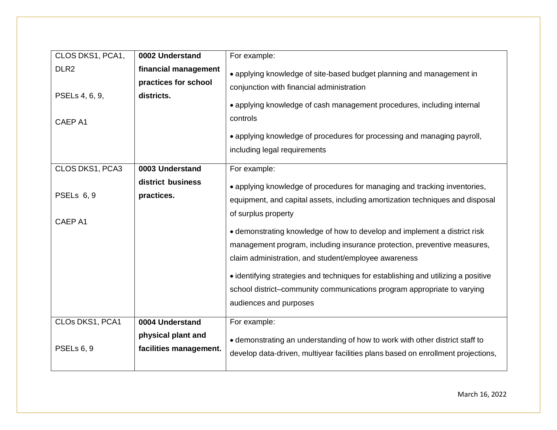| CLOS DKS1, PCA1,                              | 0002 Understand                                                 | For example:                                                                                                                                                                                                                                                                                                                                                                                                                                                                                                                                                                                                 |
|-----------------------------------------------|-----------------------------------------------------------------|--------------------------------------------------------------------------------------------------------------------------------------------------------------------------------------------------------------------------------------------------------------------------------------------------------------------------------------------------------------------------------------------------------------------------------------------------------------------------------------------------------------------------------------------------------------------------------------------------------------|
| DLR <sub>2</sub><br>PSELs 4, 6, 9,<br>CAEP A1 | financial management<br>practices for school<br>districts.      | • applying knowledge of site-based budget planning and management in<br>conjunction with financial administration<br>• applying knowledge of cash management procedures, including internal<br>controls<br>• applying knowledge of procedures for processing and managing payroll,<br>including legal requirements                                                                                                                                                                                                                                                                                           |
| CLOS DKS1, PCA3<br>PSELs 6, 9<br>CAEP A1      | 0003 Understand<br>district business<br>practices.              | For example:<br>• applying knowledge of procedures for managing and tracking inventories,<br>equipment, and capital assets, including amortization techniques and disposal<br>of surplus property<br>• demonstrating knowledge of how to develop and implement a district risk<br>management program, including insurance protection, preventive measures,<br>claim administration, and student/employee awareness<br>• identifying strategies and techniques for establishing and utilizing a positive<br>school district–community communications program appropriate to varying<br>audiences and purposes |
| CLOs DKS1, PCA1<br>PSELs 6, 9                 | 0004 Understand<br>physical plant and<br>facilities management. | For example:<br>• demonstrating an understanding of how to work with other district staff to<br>develop data-driven, multiyear facilities plans based on enrollment projections,                                                                                                                                                                                                                                                                                                                                                                                                                             |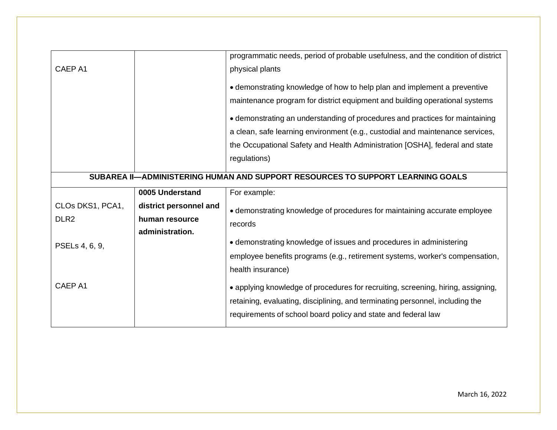|                  |                        | programmatic needs, period of probable usefulness, and the condition of district                                                                                                                                                                                                                                                                                                                                        |
|------------------|------------------------|-------------------------------------------------------------------------------------------------------------------------------------------------------------------------------------------------------------------------------------------------------------------------------------------------------------------------------------------------------------------------------------------------------------------------|
| CAEP A1          |                        | physical plants                                                                                                                                                                                                                                                                                                                                                                                                         |
|                  |                        | • demonstrating knowledge of how to help plan and implement a preventive<br>maintenance program for district equipment and building operational systems<br>• demonstrating an understanding of procedures and practices for maintaining<br>a clean, safe learning environment (e.g., custodial and maintenance services,<br>the Occupational Safety and Health Administration [OSHA], federal and state<br>regulations) |
|                  |                        | SUBAREA II-ADMINISTERING HUMAN AND SUPPORT RESOURCES TO SUPPORT LEARNING GOALS                                                                                                                                                                                                                                                                                                                                          |
|                  | 0005 Understand        | For example:                                                                                                                                                                                                                                                                                                                                                                                                            |
| CLOs DKS1, PCA1, | district personnel and | • demonstrating knowledge of procedures for maintaining accurate employee                                                                                                                                                                                                                                                                                                                                               |
| DLR <sub>2</sub> | human resource         | records                                                                                                                                                                                                                                                                                                                                                                                                                 |
| PSELs 4, 6, 9,   | administration.        | • demonstrating knowledge of issues and procedures in administering<br>employee benefits programs (e.g., retirement systems, worker's compensation,<br>health insurance)                                                                                                                                                                                                                                                |
| CAEP A1          |                        | • applying knowledge of procedures for recruiting, screening, hiring, assigning,<br>retaining, evaluating, disciplining, and terminating personnel, including the                                                                                                                                                                                                                                                       |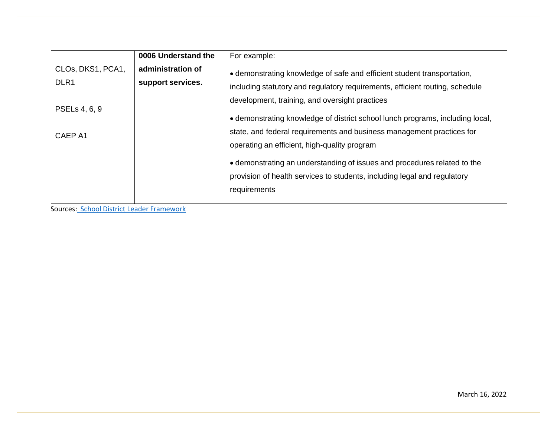|                                                        | 0006 Understand the                    | For example:                                                                                                                                                                                                                                                                                                                                                                   |
|--------------------------------------------------------|----------------------------------------|--------------------------------------------------------------------------------------------------------------------------------------------------------------------------------------------------------------------------------------------------------------------------------------------------------------------------------------------------------------------------------|
| CLOs, DKS1, PCA1,<br>DLR <sub>1</sub><br>PSELs 4, 6, 9 | administration of<br>support services. | • demonstrating knowledge of safe and efficient student transportation,<br>including statutory and regulatory requirements, efficient routing, schedule<br>development, training, and oversight practices                                                                                                                                                                      |
| CAEP A1                                                |                                        | • demonstrating knowledge of district school lunch programs, including local,<br>state, and federal requirements and business management practices for<br>operating an efficient, high-quality program<br>• demonstrating an understanding of issues and procedures related to the<br>provision of health services to students, including legal and regulatory<br>requirements |

Sources: School District Leader [Framework](http://www.nystce.nesinc.com/content/docs/NYELA_TestDesign_Frameworks_105-106.pdf)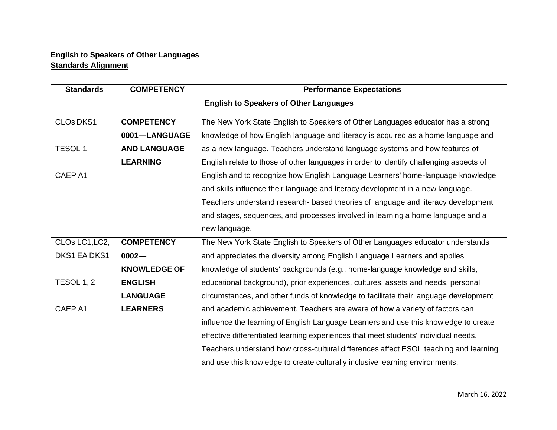# **English to Speakers of Other Languages Standards Alignment**

| <b>Standards</b>                              | <b>COMPETENCY</b>   | <b>Performance Expectations</b>                                                        |  |
|-----------------------------------------------|---------------------|----------------------------------------------------------------------------------------|--|
| <b>English to Speakers of Other Languages</b> |                     |                                                                                        |  |
| <b>CLOs DKS1</b>                              | <b>COMPETENCY</b>   | The New York State English to Speakers of Other Languages educator has a strong        |  |
|                                               | 0001-LANGUAGE       | knowledge of how English language and literacy is acquired as a home language and      |  |
| <b>TESOL1</b>                                 | <b>AND LANGUAGE</b> | as a new language. Teachers understand language systems and how features of            |  |
|                                               | <b>LEARNING</b>     | English relate to those of other languages in order to identify challenging aspects of |  |
| CAEP A1                                       |                     | English and to recognize how English Language Learners' home-language knowledge        |  |
|                                               |                     | and skills influence their language and literacy development in a new language.        |  |
|                                               |                     | Teachers understand research- based theories of language and literacy development      |  |
|                                               |                     | and stages, sequences, and processes involved in learning a home language and a        |  |
|                                               |                     | new language.                                                                          |  |
| CLOs LC1, LC2,                                | <b>COMPETENCY</b>   | The New York State English to Speakers of Other Languages educator understands         |  |
| DKS1 EA DKS1                                  | $0002 -$            | and appreciates the diversity among English Language Learners and applies              |  |
|                                               | <b>KNOWLEDGE OF</b> | knowledge of students' backgrounds (e.g., home-language knowledge and skills,          |  |
| <b>TESOL 1, 2</b>                             | <b>ENGLISH</b>      | educational background), prior experiences, cultures, assets and needs, personal       |  |
|                                               | <b>LANGUAGE</b>     | circumstances, and other funds of knowledge to facilitate their language development   |  |
| CAEP A1                                       | <b>LEARNERS</b>     | and academic achievement. Teachers are aware of how a variety of factors can           |  |
|                                               |                     | influence the learning of English Language Learners and use this knowledge to create   |  |
|                                               |                     | effective differentiated learning experiences that meet students' individual needs.    |  |
|                                               |                     | Teachers understand how cross-cultural differences affect ESOL teaching and learning   |  |
|                                               |                     | and use this knowledge to create culturally inclusive learning environments.           |  |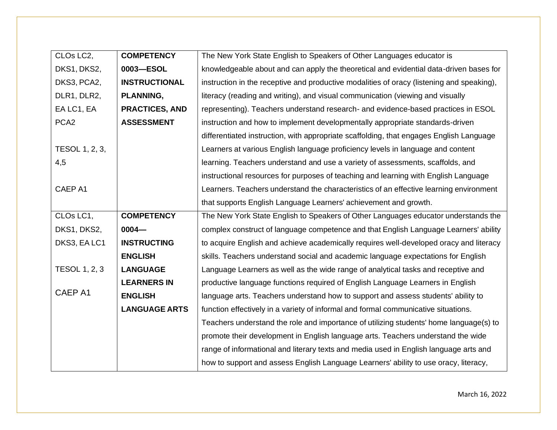| CLOs LC <sub>2</sub> , | <b>COMPETENCY</b>     | The New York State English to Speakers of Other Languages educator is                     |
|------------------------|-----------------------|-------------------------------------------------------------------------------------------|
| DKS1, DKS2,            | 0003-ESOL             | knowledgeable about and can apply the theoretical and evidential data-driven bases for    |
| DKS3, PCA2,            | <b>INSTRUCTIONAL</b>  | instruction in the receptive and productive modalities of oracy (listening and speaking), |
| DLR1, DLR2,            | <b>PLANNING,</b>      | literacy (reading and writing), and visual communication (viewing and visually            |
| EA LC1, EA             | <b>PRACTICES, AND</b> | representing). Teachers understand research- and evidence-based practices in ESOL         |
| PCA <sub>2</sub>       | <b>ASSESSMENT</b>     | instruction and how to implement developmentally appropriate standards-driven             |
|                        |                       | differentiated instruction, with appropriate scaffolding, that engages English Language   |
| TESOL 1, 2, 3,         |                       | Learners at various English language proficiency levels in language and content           |
| 4,5                    |                       | learning. Teachers understand and use a variety of assessments, scaffolds, and            |
|                        |                       | instructional resources for purposes of teaching and learning with English Language       |
| CAEP A1                |                       | Learners. Teachers understand the characteristics of an effective learning environment    |
|                        |                       | that supports English Language Learners' achievement and growth.                          |
| CLOs LC1,              | <b>COMPETENCY</b>     | The New York State English to Speakers of Other Languages educator understands the        |
| DKS1, DKS2,            | $0004 -$              | complex construct of language competence and that English Language Learners' ability      |
| DKS3, EA LC1           | <b>INSTRUCTING</b>    | to acquire English and achieve academically requires well-developed oracy and literacy    |
|                        | <b>ENGLISH</b>        | skills. Teachers understand social and academic language expectations for English         |
| <b>TESOL 1, 2, 3</b>   | <b>LANGUAGE</b>       | Language Learners as well as the wide range of analytical tasks and receptive and         |
|                        | <b>LEARNERS IN</b>    | productive language functions required of English Language Learners in English            |
| CAEP A1                | <b>ENGLISH</b>        | language arts. Teachers understand how to support and assess students' ability to         |
|                        | <b>LANGUAGE ARTS</b>  | function effectively in a variety of informal and formal communicative situations.        |
|                        |                       | Teachers understand the role and importance of utilizing students' home language(s) to    |
|                        |                       | promote their development in English language arts. Teachers understand the wide          |
|                        |                       | range of informational and literary texts and media used in English language arts and     |
|                        |                       |                                                                                           |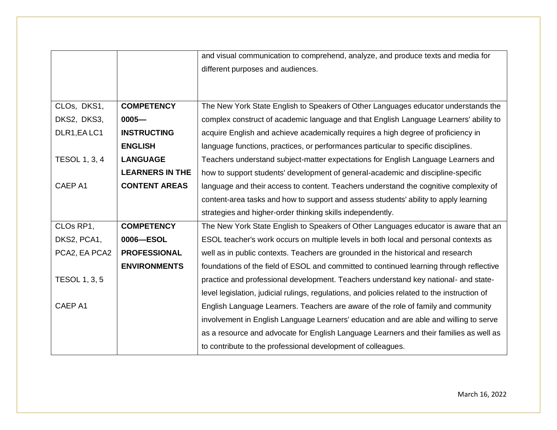|                      |                        | and visual communication to comprehend, analyze, and produce texts and media for             |
|----------------------|------------------------|----------------------------------------------------------------------------------------------|
|                      |                        | different purposes and audiences.                                                            |
|                      |                        |                                                                                              |
|                      |                        |                                                                                              |
| CLOs, DKS1,          | <b>COMPETENCY</b>      | The New York State English to Speakers of Other Languages educator understands the           |
| DKS2, DKS3,          | $0005 -$               | complex construct of academic language and that English Language Learners' ability to        |
| DLR1, EA LC1         | <b>INSTRUCTING</b>     | acquire English and achieve academically requires a high degree of proficiency in            |
|                      | <b>ENGLISH</b>         | language functions, practices, or performances particular to specific disciplines.           |
| <b>TESOL 1, 3, 4</b> | <b>LANGUAGE</b>        | Teachers understand subject-matter expectations for English Language Learners and            |
|                      | <b>LEARNERS IN THE</b> | how to support students' development of general-academic and discipline-specific             |
| CAEP A1              | <b>CONTENT AREAS</b>   | language and their access to content. Teachers understand the cognitive complexity of        |
|                      |                        | content-area tasks and how to support and assess students' ability to apply learning         |
|                      |                        | strategies and higher-order thinking skills independently.                                   |
| CLOs RP1,            | <b>COMPETENCY</b>      | The New York State English to Speakers of Other Languages educator is aware that an          |
| DKS2, PCA1,          | 0006-ESOL              | ESOL teacher's work occurs on multiple levels in both local and personal contexts as         |
| PCA2, EA PCA2        | <b>PROFESSIONAL</b>    | well as in public contexts. Teachers are grounded in the historical and research             |
|                      | <b>ENVIRONMENTS</b>    | foundations of the field of ESOL and committed to continued learning through reflective      |
| <b>TESOL 1, 3, 5</b> |                        | practice and professional development. Teachers understand key national- and state-          |
|                      |                        | level legislation, judicial rulings, regulations, and policies related to the instruction of |
| CAEP A1              |                        | English Language Learners. Teachers are aware of the role of family and community            |
|                      |                        | involvement in English Language Learners' education and are able and willing to serve        |
|                      |                        | as a resource and advocate for English Language Learners and their families as well as       |
|                      |                        | to contribute to the professional development of colleagues.                                 |